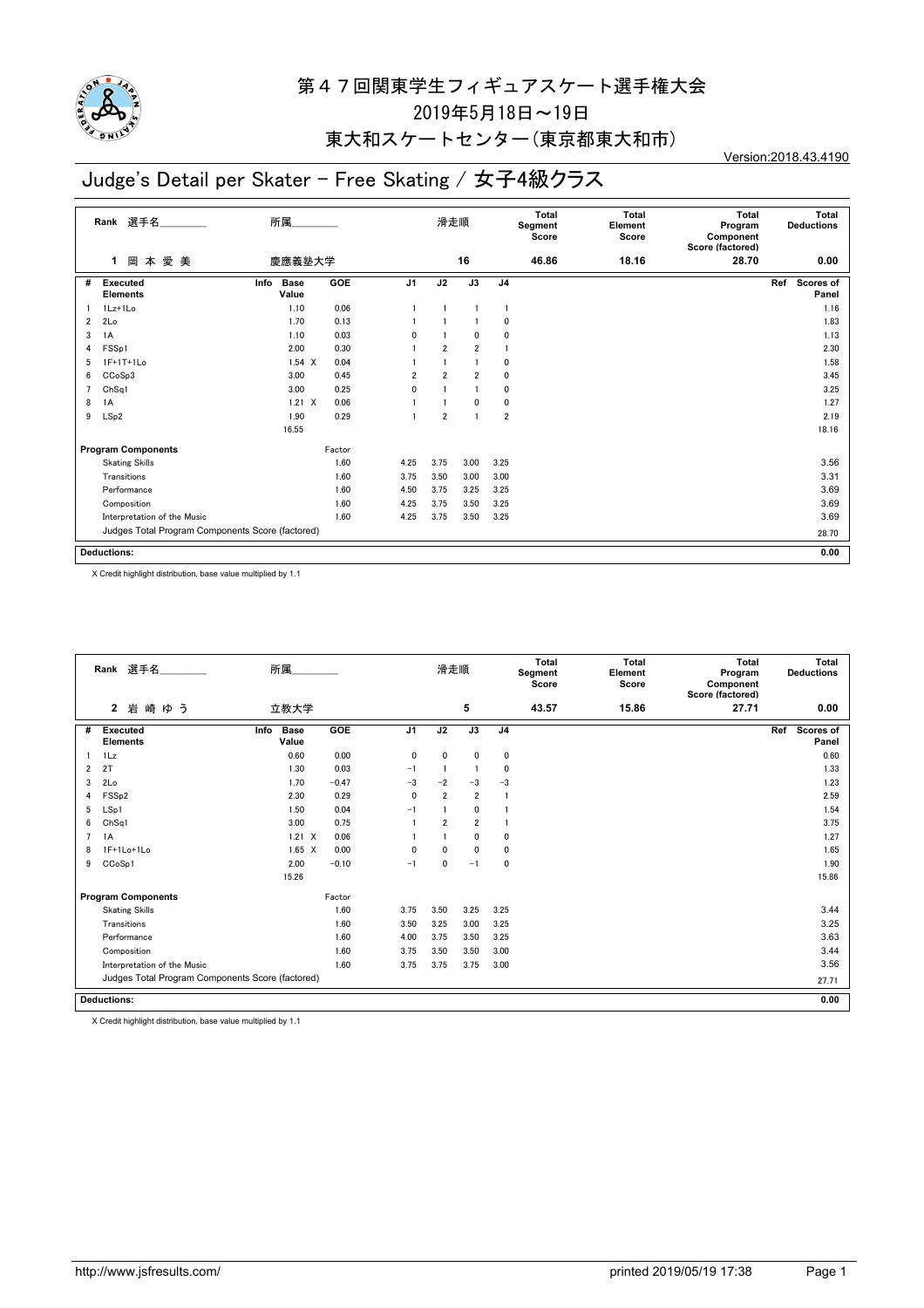

東大和スケートセンター(東京都東大和市)

## Judge's Detail per Skater - Free Skating / 女子4級クラス

Version:2018.43.4190

| 岡本愛美<br>慶應義塾大学<br>16<br>46.86<br>18.16<br>28.70<br>1.<br>J <sub>1</sub><br>J2<br>J3<br>GOE<br>J <sub>4</sub><br>#<br><b>Base</b><br>Ref<br><b>Executed</b><br>Info<br>Value<br><b>Elements</b><br>0.06<br>1Lz+1Lo<br>1.10<br>$\mathbf{1}$<br>1<br>2Lo<br>0.13<br>1.70<br>$\mathbf 0$<br>$\overline{2}$<br>0.03<br>0<br>3<br>1A<br>1.10<br>$\mathbf 0$<br>$\mathbf{0}$<br>$\overline{2}$<br>0.30<br>$\overline{2}$<br>FSSp1<br>2.00<br>4<br>1F+1T+1Lo<br>0.04<br>$1.54 \times$<br>$\blacksquare$<br>0<br>5<br>0.45<br>$\overline{2}$<br>$\overline{2}$<br>CC <sub>o</sub> S <sub>p</sub> 3<br>3.00<br>$\overline{2}$<br>$\mathbf 0$<br>6<br>0.25<br>ChSq1<br>3.00<br>$\mathbf 0$<br>$\overline{7}$<br>$\overline{1}$<br>0<br>$1.21 \times$<br>0.06<br>1A<br>$\mathbf{0}$<br>0<br>8<br>9<br>LSp2<br>1.90<br>0.29<br>$\overline{2}$<br>$\overline{2}$<br>1<br>-1<br>16.55<br>Factor<br><b>Program Components</b><br>1.60<br>4.25<br>3.75<br>3.00<br>3.25<br><b>Skating Skills</b><br>Transitions<br>1.60<br>3.75<br>3.50<br>3.00<br>3.00<br>1.60<br>Performance<br>4.50<br>3.75<br>3.25<br>3.25<br>Composition<br>1.60<br>4.25<br>3.25<br>3.75<br>3.50<br>Interpretation of the Music<br>1.60<br>4.25<br>3.75<br>3.50<br>3.25<br>Judges Total Program Components Score (factored)<br><b>Deductions:</b> | 選手名<br>Rank | 所属. |  | 滑走順 |  | <b>Total</b><br>Segment<br>Score | <b>Total</b><br>Element<br>Score | <b>Total</b><br>Program<br>Component<br>Score (factored) | Total<br><b>Deductions</b> |
|------------------------------------------------------------------------------------------------------------------------------------------------------------------------------------------------------------------------------------------------------------------------------------------------------------------------------------------------------------------------------------------------------------------------------------------------------------------------------------------------------------------------------------------------------------------------------------------------------------------------------------------------------------------------------------------------------------------------------------------------------------------------------------------------------------------------------------------------------------------------------------------------------------------------------------------------------------------------------------------------------------------------------------------------------------------------------------------------------------------------------------------------------------------------------------------------------------------------------------------------------------------------------------------------------|-------------|-----|--|-----|--|----------------------------------|----------------------------------|----------------------------------------------------------|----------------------------|
|                                                                                                                                                                                                                                                                                                                                                                                                                                                                                                                                                                                                                                                                                                                                                                                                                                                                                                                                                                                                                                                                                                                                                                                                                                                                                                      |             |     |  |     |  |                                  |                                  |                                                          | 0.00                       |
|                                                                                                                                                                                                                                                                                                                                                                                                                                                                                                                                                                                                                                                                                                                                                                                                                                                                                                                                                                                                                                                                                                                                                                                                                                                                                                      |             |     |  |     |  |                                  |                                  |                                                          | Scores of<br>Panel         |
|                                                                                                                                                                                                                                                                                                                                                                                                                                                                                                                                                                                                                                                                                                                                                                                                                                                                                                                                                                                                                                                                                                                                                                                                                                                                                                      |             |     |  |     |  |                                  |                                  |                                                          | 1.16                       |
|                                                                                                                                                                                                                                                                                                                                                                                                                                                                                                                                                                                                                                                                                                                                                                                                                                                                                                                                                                                                                                                                                                                                                                                                                                                                                                      |             |     |  |     |  |                                  |                                  |                                                          | 1.83                       |
|                                                                                                                                                                                                                                                                                                                                                                                                                                                                                                                                                                                                                                                                                                                                                                                                                                                                                                                                                                                                                                                                                                                                                                                                                                                                                                      |             |     |  |     |  |                                  |                                  |                                                          | 1.13                       |
|                                                                                                                                                                                                                                                                                                                                                                                                                                                                                                                                                                                                                                                                                                                                                                                                                                                                                                                                                                                                                                                                                                                                                                                                                                                                                                      |             |     |  |     |  |                                  |                                  |                                                          | 2.30                       |
|                                                                                                                                                                                                                                                                                                                                                                                                                                                                                                                                                                                                                                                                                                                                                                                                                                                                                                                                                                                                                                                                                                                                                                                                                                                                                                      |             |     |  |     |  |                                  |                                  |                                                          | 1.58                       |
|                                                                                                                                                                                                                                                                                                                                                                                                                                                                                                                                                                                                                                                                                                                                                                                                                                                                                                                                                                                                                                                                                                                                                                                                                                                                                                      |             |     |  |     |  |                                  |                                  |                                                          | 3.45                       |
|                                                                                                                                                                                                                                                                                                                                                                                                                                                                                                                                                                                                                                                                                                                                                                                                                                                                                                                                                                                                                                                                                                                                                                                                                                                                                                      |             |     |  |     |  |                                  |                                  |                                                          | 3.25                       |
|                                                                                                                                                                                                                                                                                                                                                                                                                                                                                                                                                                                                                                                                                                                                                                                                                                                                                                                                                                                                                                                                                                                                                                                                                                                                                                      |             |     |  |     |  |                                  |                                  |                                                          | 1.27                       |
|                                                                                                                                                                                                                                                                                                                                                                                                                                                                                                                                                                                                                                                                                                                                                                                                                                                                                                                                                                                                                                                                                                                                                                                                                                                                                                      |             |     |  |     |  |                                  |                                  |                                                          | 2.19                       |
|                                                                                                                                                                                                                                                                                                                                                                                                                                                                                                                                                                                                                                                                                                                                                                                                                                                                                                                                                                                                                                                                                                                                                                                                                                                                                                      |             |     |  |     |  |                                  |                                  |                                                          | 18.16                      |
|                                                                                                                                                                                                                                                                                                                                                                                                                                                                                                                                                                                                                                                                                                                                                                                                                                                                                                                                                                                                                                                                                                                                                                                                                                                                                                      |             |     |  |     |  |                                  |                                  |                                                          |                            |
|                                                                                                                                                                                                                                                                                                                                                                                                                                                                                                                                                                                                                                                                                                                                                                                                                                                                                                                                                                                                                                                                                                                                                                                                                                                                                                      |             |     |  |     |  |                                  |                                  |                                                          | 3.56                       |
|                                                                                                                                                                                                                                                                                                                                                                                                                                                                                                                                                                                                                                                                                                                                                                                                                                                                                                                                                                                                                                                                                                                                                                                                                                                                                                      |             |     |  |     |  |                                  |                                  |                                                          | 3.31                       |
|                                                                                                                                                                                                                                                                                                                                                                                                                                                                                                                                                                                                                                                                                                                                                                                                                                                                                                                                                                                                                                                                                                                                                                                                                                                                                                      |             |     |  |     |  |                                  |                                  |                                                          | 3.69                       |
|                                                                                                                                                                                                                                                                                                                                                                                                                                                                                                                                                                                                                                                                                                                                                                                                                                                                                                                                                                                                                                                                                                                                                                                                                                                                                                      |             |     |  |     |  |                                  |                                  |                                                          | 3.69                       |
|                                                                                                                                                                                                                                                                                                                                                                                                                                                                                                                                                                                                                                                                                                                                                                                                                                                                                                                                                                                                                                                                                                                                                                                                                                                                                                      |             |     |  |     |  |                                  |                                  |                                                          | 3.69                       |
|                                                                                                                                                                                                                                                                                                                                                                                                                                                                                                                                                                                                                                                                                                                                                                                                                                                                                                                                                                                                                                                                                                                                                                                                                                                                                                      |             |     |  |     |  |                                  |                                  |                                                          | 28.70                      |
|                                                                                                                                                                                                                                                                                                                                                                                                                                                                                                                                                                                                                                                                                                                                                                                                                                                                                                                                                                                                                                                                                                                                                                                                                                                                                                      |             |     |  |     |  |                                  |                                  |                                                          |                            |
|                                                                                                                                                                                                                                                                                                                                                                                                                                                                                                                                                                                                                                                                                                                                                                                                                                                                                                                                                                                                                                                                                                                                                                                                                                                                                                      |             |     |  |     |  |                                  |                                  |                                                          | 0.00                       |

X Credit highlight distribution, base value multiplied by 1.1

|   | Rank 選手名                                         | 所属.                          |            |                | 滑走順            |                |                | <b>Total</b><br>Segment<br>Score | <b>Total</b><br>Element<br>Score | <b>Total</b><br>Program<br>Component<br>Score (factored) | Total<br><b>Deductions</b> |
|---|--------------------------------------------------|------------------------------|------------|----------------|----------------|----------------|----------------|----------------------------------|----------------------------------|----------------------------------------------------------|----------------------------|
|   | 岩崎ゆう<br>$\mathbf{2}$                             | 立教大学                         |            |                |                | 5              |                | 43.57                            | 15.86                            | 27.71                                                    | 0.00                       |
| # | <b>Executed</b><br><b>Elements</b>               | <b>Base</b><br>Info<br>Value | <b>GOE</b> | J <sub>1</sub> | J2             | J3             | J <sub>4</sub> |                                  |                                  |                                                          | Ref<br>Scores of<br>Panel  |
|   | 1Lz                                              | 0.60                         | 0.00       | 0              | $\mathbf 0$    | $\mathbf 0$    | 0              |                                  |                                  |                                                          | 0.60                       |
| 2 | 2T                                               | 1.30                         | 0.03       | $-1$           |                | -1             | 0              |                                  |                                  |                                                          | 1.33                       |
| 3 | 2Lo                                              | 1.70                         | $-0.47$    | $-3$           | $-2$           | $-3$           | $-3$           |                                  |                                  |                                                          | 1.23                       |
| 4 | FSS <sub>p2</sub>                                | 2.30                         | 0.29       | 0              | $\overline{2}$ | $\overline{2}$ | $\mathbf{1}$   |                                  |                                  |                                                          | 2.59                       |
| 5 | LSp1                                             | 1.50                         | 0.04       | $-1$           |                | 0              |                |                                  |                                  |                                                          | 1.54                       |
| 6 | ChSq1                                            | 3.00                         | 0.75       |                | $\overline{2}$ | $\overline{2}$ |                |                                  |                                  |                                                          | 3.75                       |
| 7 | 1A                                               | $1.21 \times$                | 0.06       |                |                | $\mathbf{0}$   | 0              |                                  |                                  |                                                          | 1.27                       |
| 8 | 1F+1Lo+1Lo                                       | $1.65 \quad X$               | 0.00       | 0              | 0              | $\mathbf{0}$   | 0              |                                  |                                  |                                                          | 1.65                       |
| 9 | CCoSp1                                           | 2.00                         | $-0.10$    | $-1$           | 0              | $-1$           | 0              |                                  |                                  |                                                          | 1.90                       |
|   |                                                  | 15.26                        |            |                |                |                |                |                                  |                                  |                                                          | 15.86                      |
|   | <b>Program Components</b>                        |                              | Factor     |                |                |                |                |                                  |                                  |                                                          |                            |
|   | <b>Skating Skills</b>                            |                              | 1.60       | 3.75           | 3.50           | 3.25           | 3.25           |                                  |                                  |                                                          | 3.44                       |
|   | Transitions                                      |                              | 1.60       | 3.50           | 3.25           | 3.00           | 3.25           |                                  |                                  |                                                          | 3.25                       |
|   | Performance                                      |                              | 1.60       | 4.00           | 3.75           | 3.50           | 3.25           |                                  |                                  |                                                          | 3.63                       |
|   | Composition                                      |                              | 1.60       | 3.75           | 3.50           | 3.50           | 3.00           |                                  |                                  |                                                          | 3.44                       |
|   | Interpretation of the Music                      |                              | 1.60       | 3.75           | 3.75           | 3.75           | 3.00           |                                  |                                  |                                                          | 3.56                       |
|   | Judges Total Program Components Score (factored) |                              |            |                |                |                |                |                                  |                                  |                                                          | 27.71                      |
|   | <b>Deductions:</b>                               |                              |            |                |                |                |                |                                  |                                  |                                                          | 0.00                       |
|   |                                                  |                              |            |                |                |                |                |                                  |                                  |                                                          |                            |

X Credit highlight distribution, base value multiplied by 1.1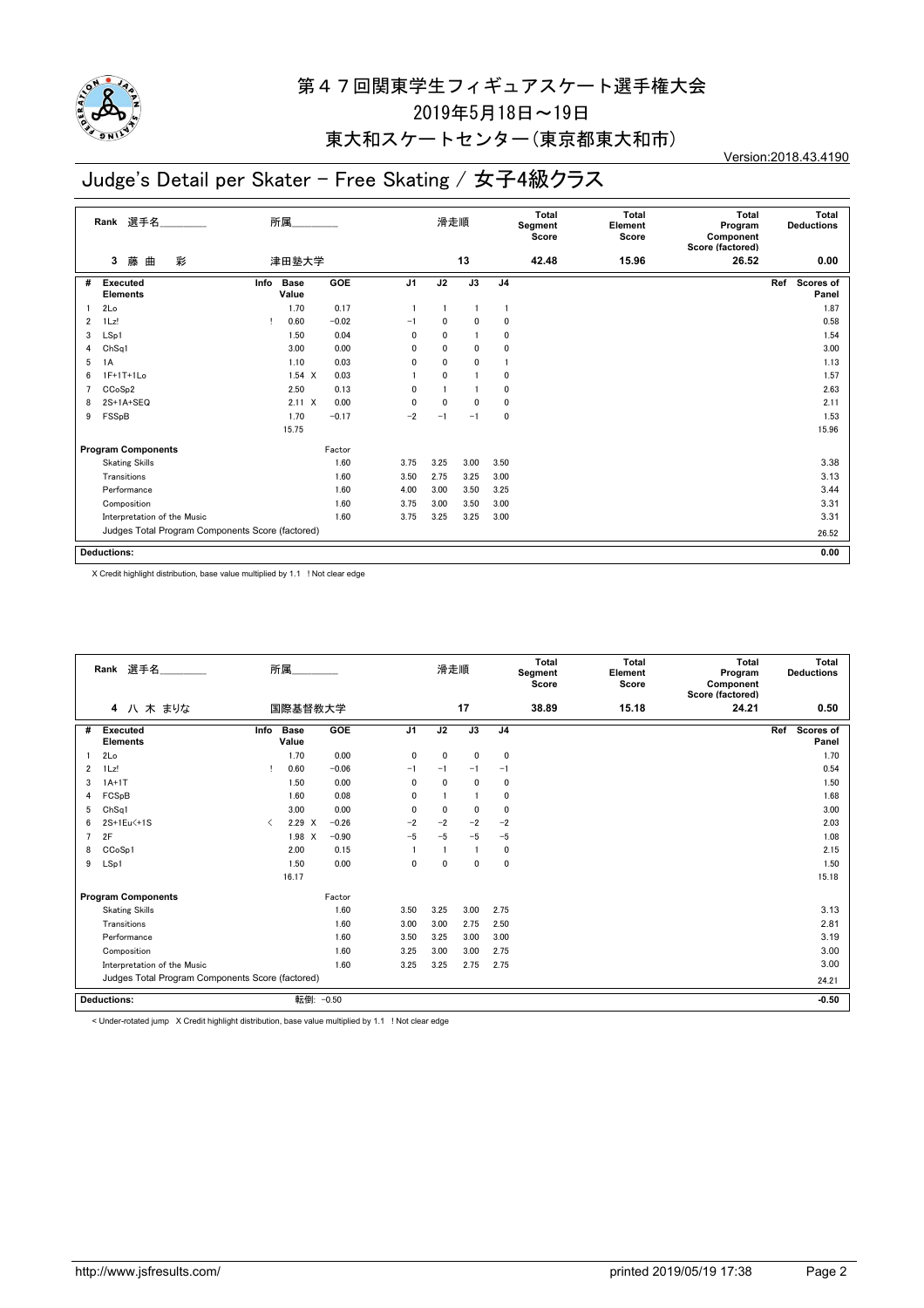

## 東大和スケートセンター(東京都東大和市)

## Judge's Detail per Skater - Free Skating / 女子4級クラス

Version:2018.43.4190

|                | 選手名<br>Rank                                      |      | 所属                   |         |                | 滑走順          |              |                | <b>Total</b><br>Segment<br>Score | <b>Total</b><br>Element<br>Score | Total<br>Program<br>Component<br>Score (factored) | Total<br><b>Deductions</b> |
|----------------|--------------------------------------------------|------|----------------------|---------|----------------|--------------|--------------|----------------|----------------------------------|----------------------------------|---------------------------------------------------|----------------------------|
|                | 彩<br>藤<br>曲<br>3                                 |      | 津田塾大学                |         |                |              | 13           |                | 42.48                            | 15.96                            | 26.52                                             | 0.00                       |
| #              | <b>Executed</b><br><b>Elements</b>               | Info | <b>Base</b><br>Value | GOE     | J <sub>1</sub> | J2           | J3           | J <sub>4</sub> |                                  |                                  |                                                   | Scores of<br>Ref<br>Panel  |
|                | 2Lo                                              |      | 1.70                 | 0.17    |                |              |              |                |                                  |                                  |                                                   | 1.87                       |
| $\overline{2}$ | $1$ Lz!                                          | ı    | 0.60                 | $-0.02$ | $-1$           | 0            | $\mathbf{0}$ | 0              |                                  |                                  |                                                   | 0.58                       |
| 3              | LSp1                                             |      | 1.50                 | 0.04    | 0              | 0            |              | 0              |                                  |                                  |                                                   | 1.54                       |
| 4              | Ch <sub>Sq1</sub>                                |      | 3.00                 | 0.00    | 0              | $\mathbf{0}$ | 0            | 0              |                                  |                                  |                                                   | 3.00                       |
| 5              | 1A                                               |      | 1.10                 | 0.03    | 0              | 0            | 0            |                |                                  |                                  |                                                   | 1.13                       |
| 6              | $1F+1T+1Lo$                                      |      | $1.54 \times$        | 0.03    |                | 0            |              | 0              |                                  |                                  |                                                   | 1.57                       |
|                | CCoSp2                                           |      | 2.50                 | 0.13    | 0              |              |              | 0              |                                  |                                  |                                                   | 2.63                       |
| 8              | $2S+1A+SEQ$                                      |      | $2.11 \times$        | 0.00    | $\mathbf{0}$   | $\mathbf{0}$ | 0            | 0              |                                  |                                  |                                                   | 2.11                       |
| 9              | FSSpB                                            |      | 1.70                 | $-0.17$ | $-2$           | $-1$         | $-1$         | 0              |                                  |                                  |                                                   | 1.53                       |
|                |                                                  |      | 15.75                |         |                |              |              |                |                                  |                                  |                                                   | 15.96                      |
|                | <b>Program Components</b>                        |      |                      | Factor  |                |              |              |                |                                  |                                  |                                                   |                            |
|                | <b>Skating Skills</b>                            |      |                      | 1.60    | 3.75           | 3.25         | 3.00         | 3.50           |                                  |                                  |                                                   | 3.38                       |
|                | Transitions                                      |      |                      | 1.60    | 3.50           | 2.75         | 3.25         | 3.00           |                                  |                                  |                                                   | 3.13                       |
|                | Performance                                      |      |                      | 1.60    | 4.00           | 3.00         | 3.50         | 3.25           |                                  |                                  |                                                   | 3.44                       |
|                | Composition                                      |      |                      | 1.60    | 3.75           | 3.00         | 3.50         | 3.00           |                                  |                                  |                                                   | 3.31                       |
|                | Interpretation of the Music                      |      |                      | 1.60    | 3.75           | 3.25         | 3.25         | 3.00           |                                  |                                  |                                                   | 3.31                       |
|                | Judges Total Program Components Score (factored) |      |                      |         |                |              |              |                |                                  |                                  |                                                   | 26.52                      |
|                |                                                  |      |                      |         |                |              |              |                |                                  |                                  |                                                   |                            |
|                | <b>Deductions:</b>                               |      |                      |         |                |              |              |                |                                  |                                  |                                                   | 0.00                       |

X Credit highlight distribution, base value multiplied by 1.1 ! Not clear edge

|   | Rank 選手名                                         |                                          | 所属                   |         |                | 滑走順          |                |                | <b>Total</b><br>Segment<br>Score | <b>Total</b><br>Element<br>Score | <b>Total</b><br>Program<br>Component<br>Score (factored) | Total<br><b>Deductions</b>       |
|---|--------------------------------------------------|------------------------------------------|----------------------|---------|----------------|--------------|----------------|----------------|----------------------------------|----------------------------------|----------------------------------------------------------|----------------------------------|
|   | 八木まりな<br>4                                       |                                          | 国際基督教大学              |         |                |              | 17             |                | 38.89                            | 15.18                            | 24.21                                                    | 0.50                             |
| # | <b>Executed</b><br><b>Elements</b>               | Info                                     | <b>Base</b><br>Value | GOE     | J <sub>1</sub> | J2           | J3             | J <sub>4</sub> |                                  |                                  |                                                          | Ref<br><b>Scores of</b><br>Panel |
|   | 2Lo                                              |                                          | 1.70                 | 0.00    | $\mathbf{0}$   | 0            | $\mathbf{0}$   | 0              |                                  |                                  |                                                          | 1.70                             |
| 2 | 1Lz!                                             |                                          | 0.60                 | $-0.06$ | $-1$           | $-1$         | $-1$           | $-1$           |                                  |                                  |                                                          | 0.54                             |
| 3 | $1A+1T$                                          |                                          | 1.50                 | 0.00    | 0              | $\mathbf 0$  | $\mathbf{0}$   | $\mathbf 0$    |                                  |                                  |                                                          | 1.50                             |
| 4 | FCSpB                                            |                                          | 1.60                 | 0.08    | 0              |              | $\overline{1}$ | 0              |                                  |                                  |                                                          | 1.68                             |
| 5 | ChSq1                                            |                                          | 3.00                 | 0.00    | 0              | 0            | 0              | $\mathbf 0$    |                                  |                                  |                                                          | 3.00                             |
| 6 | 2S+1Eu<+1S                                       | $\overline{\left\langle \right\rangle }$ | 2.29 X               | $-0.26$ | $-2$           | $-2$         | $-2$           | $-2$           |                                  |                                  |                                                          | 2.03                             |
| 7 | 2F                                               |                                          | 1.98<br>$\times$     | $-0.90$ | $-5$           | $-5$         | $-5$           | $-5$           |                                  |                                  |                                                          | 1.08                             |
| 8 | CCoSp1                                           |                                          | 2.00                 | 0.15    |                |              | $\blacksquare$ | 0              |                                  |                                  |                                                          | 2.15                             |
| 9 | LSp1                                             |                                          | 1.50                 | 0.00    | 0              | $\mathbf{0}$ | $\mathbf{0}$   | 0              |                                  |                                  |                                                          | 1.50                             |
|   |                                                  |                                          | 16.17                |         |                |              |                |                |                                  |                                  |                                                          | 15.18                            |
|   | <b>Program Components</b>                        |                                          |                      | Factor  |                |              |                |                |                                  |                                  |                                                          |                                  |
|   | <b>Skating Skills</b>                            |                                          |                      | 1.60    | 3.50           | 3.25         | 3.00           | 2.75           |                                  |                                  |                                                          | 3.13                             |
|   | Transitions                                      |                                          |                      | 1.60    | 3.00           | 3.00         | 2.75           | 2.50           |                                  |                                  |                                                          | 2.81                             |
|   | Performance                                      |                                          |                      | 1.60    | 3.50           | 3.25         | 3.00           | 3.00           |                                  |                                  |                                                          | 3.19                             |
|   | Composition                                      |                                          |                      | 1.60    | 3.25           | 3.00         | 3.00           | 2.75           |                                  |                                  |                                                          | 3.00                             |
|   | Interpretation of the Music                      |                                          |                      | 1.60    | 3.25           | 3.25         | 2.75           | 2.75           |                                  |                                  |                                                          | 3.00                             |
|   | Judges Total Program Components Score (factored) |                                          |                      |         |                |              |                |                | 24.21                            |                                  |                                                          |                                  |
|   | <b>Deductions:</b>                               |                                          | 転倒: -0.50            |         |                |              |                |                |                                  |                                  |                                                          | $-0.50$                          |
|   |                                                  |                                          |                      |         |                |              |                |                |                                  |                                  |                                                          |                                  |

< Under-rotated jump X Credit highlight distribution, base value multiplied by 1.1 ! Not clear edge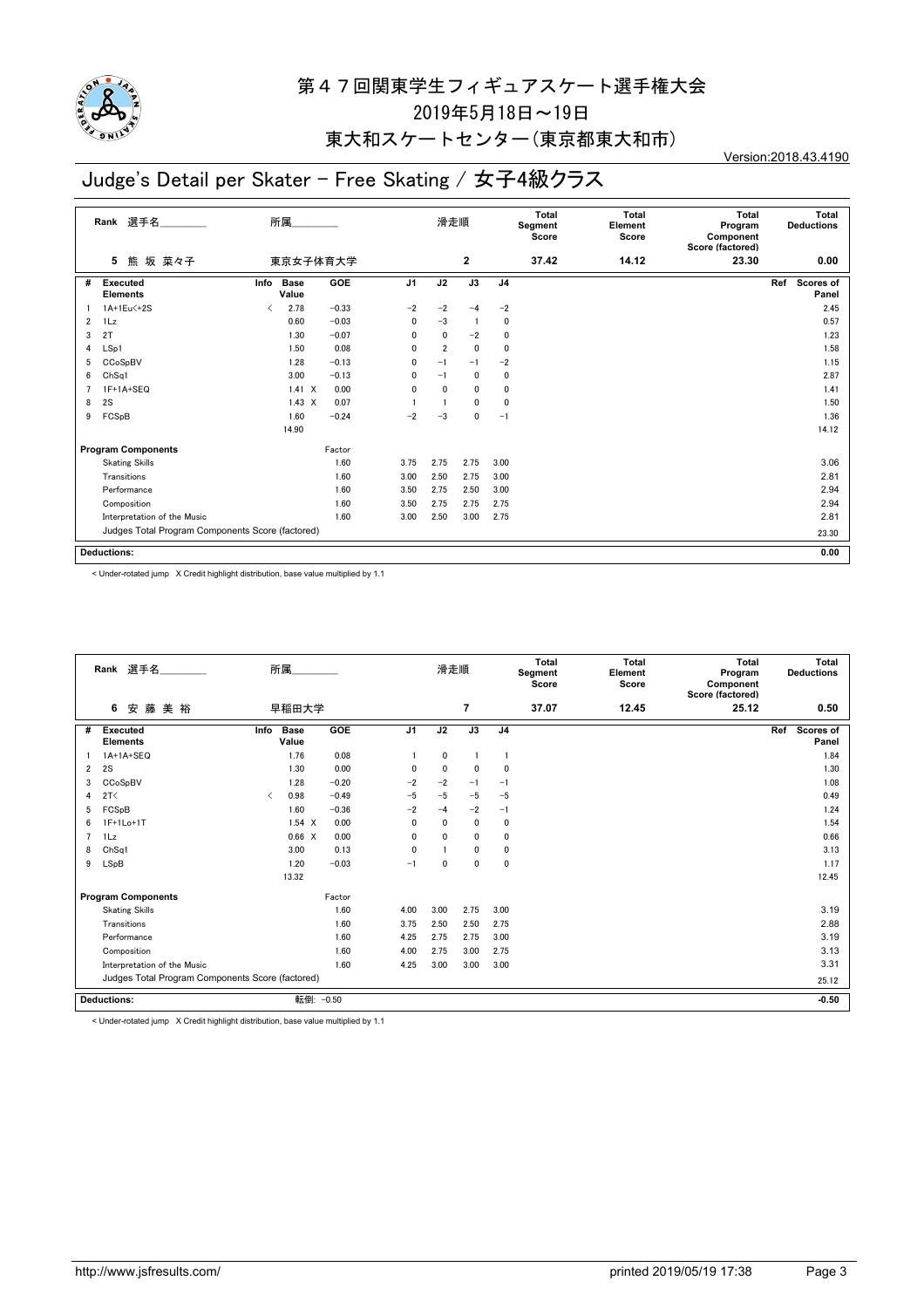

#### 東大和スケートセンター(東京都東大和市)

## Judge's Detail per Skater - Free Skating / 女子4級クラス

Version:2018.43.4190

|                | 選手名<br>Rank                                      | 所属                           |         |                | 滑走順            |                |                | <b>Total</b><br>Segment<br>Score | <b>Total</b><br>Element<br>Score | <b>Total</b><br>Program<br>Component<br>Score (factored) | Total<br><b>Deductions</b>       |
|----------------|--------------------------------------------------|------------------------------|---------|----------------|----------------|----------------|----------------|----------------------------------|----------------------------------|----------------------------------------------------------|----------------------------------|
|                | 熊坂 菜々子<br>5                                      | 東京女子体育大学                     |         |                |                | 2              |                | 37.42                            | 14.12                            | 23.30                                                    | 0.00                             |
| #              | <b>Executed</b><br><b>Elements</b>               | <b>Base</b><br>Info<br>Value | GOE     | J <sub>1</sub> | J2             | J3             | J <sub>4</sub> |                                  |                                  |                                                          | Ref<br><b>Scores of</b><br>Panel |
|                | 1A+1Eu<+2S                                       | 2.78<br>≺                    | $-0.33$ | $-2$           | $-2$           | $-4$           | $-2$           |                                  |                                  |                                                          | 2.45                             |
| $\overline{2}$ | 1Lz                                              | 0.60                         | $-0.03$ | $\mathbf{0}$   | $-3$           | $\overline{1}$ | 0              |                                  |                                  |                                                          | 0.57                             |
| 3              | 2T                                               | 1.30                         | $-0.07$ | 0              | $\mathbf{0}$   | $-2$           | 0              |                                  |                                  |                                                          | 1.23                             |
| 4              | LSp1                                             | 1.50                         | 0.08    | $\mathbf{0}$   | $\overline{2}$ | 0              | 0              |                                  |                                  |                                                          | 1.58                             |
| 5              | CCoSpBV                                          | 1.28                         | $-0.13$ | $\mathbf{0}$   | $-1$           | $-1$           | $-2$           |                                  |                                  |                                                          | 1.15                             |
| 6              | ChSq1                                            | 3.00                         | $-0.13$ | 0              | $-1$           | $\mathbf 0$    | 0              |                                  |                                  |                                                          | 2.87                             |
|                | $1F+1A+SEQ$                                      | 1.41 X                       | 0.00    | $\mathbf{0}$   | $\mathbf{0}$   | $\mathbf{0}$   | 0              |                                  |                                  |                                                          | 1.41                             |
| 8              | 2S                                               | $1.43 \times$                | 0.07    |                |                | 0              | 0              |                                  |                                  |                                                          | 1.50                             |
| 9              | FCSpB                                            | 1.60                         | $-0.24$ | $-2$           | $-3$           | 0              | $-1$           |                                  |                                  |                                                          | 1.36                             |
|                |                                                  | 14.90                        |         |                |                |                |                |                                  |                                  |                                                          | 14.12                            |
|                | <b>Program Components</b>                        |                              | Factor  |                |                |                |                |                                  |                                  |                                                          |                                  |
|                | <b>Skating Skills</b>                            |                              | 1.60    | 3.75           | 2.75           | 2.75           | 3.00           |                                  |                                  |                                                          | 3.06                             |
|                | Transitions                                      |                              | 1.60    | 3.00           | 2.50           | 2.75           | 3.00           |                                  |                                  |                                                          | 2.81                             |
|                | Performance                                      |                              | 1.60    | 3.50           | 2.75           | 2.50           | 3.00           |                                  |                                  |                                                          | 2.94                             |
|                | Composition                                      |                              | 1.60    | 3.50           | 2.75           | 2.75           | 2.75           |                                  |                                  |                                                          | 2.94                             |
|                | Interpretation of the Music                      |                              | 1.60    | 3.00           | 2.50           | 3.00           | 2.75           |                                  |                                  |                                                          | 2.81                             |
|                | Judges Total Program Components Score (factored) |                              |         |                |                |                |                |                                  |                                  |                                                          | 23.30                            |
|                | Deductions:                                      |                              |         |                |                |                |                |                                  |                                  |                                                          | 0.00                             |
|                |                                                  |                              |         |                |                |                |                |                                  |                                  |                                                          |                                  |

< Under-rotated jump X Credit highlight distribution, base value multiplied by 1.1

|   | Rank 選手名                                         | 所属                            |               |         |                | 滑走順          |                |                | <b>Total</b><br>Segment<br>Score | <b>Total</b><br>Element<br>Score | Total<br>Program<br>Component<br>Score (factored) | Total<br><b>Deductions</b> |
|---|--------------------------------------------------|-------------------------------|---------------|---------|----------------|--------------|----------------|----------------|----------------------------------|----------------------------------|---------------------------------------------------|----------------------------|
|   | 6<br>安藤美裕                                        |                               | 早稲田大学         |         |                |              | $\overline{7}$ |                | 37.07                            | 12.45                            | 25.12                                             | 0.50                       |
| # | <b>Executed</b><br><b>Elements</b>               | Info<br><b>Base</b><br>Value  |               | GOE     | J <sub>1</sub> | J2           | J3             | J <sub>4</sub> |                                  |                                  |                                                   | Scores of<br>Ref<br>Panel  |
|   | 1A+1A+SEQ                                        |                               | 1.76          | 0.08    |                | 0            | 1              | $\mathbf{1}$   |                                  |                                  |                                                   | 1.84                       |
| 2 | 2S                                               |                               | 1.30          | 0.00    | $\Omega$       | 0            | 0              | $\mathbf 0$    |                                  |                                  |                                                   | 1.30                       |
| 3 | CCoSpBV                                          |                               | 1.28          | $-0.20$ | $-2$           | $-2$         | $-1$           | $-1$           |                                  |                                  |                                                   | 1.08                       |
| 4 | 2T<                                              | $\overline{\left( \right. }%$ | 0.98          | $-0.49$ | $-5$           | $-5$         | $-5$           | $-5$           |                                  |                                  |                                                   | 0.49                       |
| 5 | FCSpB                                            |                               | 1.60          | $-0.36$ | $-2$           | $-4$         | $-2$           | $-1$           |                                  |                                  |                                                   | 1.24                       |
| 6 | 1F+1Lo+1T                                        |                               | $1.54 \times$ | 0.00    | 0              | 0            | $\mathbf 0$    | 0              |                                  |                                  |                                                   | 1.54                       |
| 7 | $1\mathsf{L}z$                                   |                               | 0.66 X        | 0.00    | 0              | $\mathbf{0}$ | $\mathbf{0}$   | 0              |                                  |                                  |                                                   | 0.66                       |
| 8 | Ch <sub>Sq1</sub>                                |                               | 3.00          | 0.13    | $\mathbf{0}$   |              | $\mathbf{0}$   | 0              |                                  |                                  |                                                   | 3.13                       |
| 9 | <b>LSpB</b>                                      |                               | 1.20          | $-0.03$ | $-1$           | 0            | 0              | 0              |                                  |                                  |                                                   | 1.17                       |
|   |                                                  |                               | 13.32         |         |                |              |                |                |                                  |                                  |                                                   | 12.45                      |
|   | <b>Program Components</b>                        |                               |               | Factor  |                |              |                |                |                                  |                                  |                                                   |                            |
|   | <b>Skating Skills</b>                            |                               |               | 1.60    | 4.00           | 3.00         | 2.75           | 3.00           |                                  |                                  |                                                   | 3.19                       |
|   | Transitions                                      |                               |               | 1.60    | 3.75           | 2.50         | 2.50           | 2.75           |                                  |                                  |                                                   | 2.88                       |
|   | Performance                                      |                               |               | 1.60    | 4.25           | 2.75         | 2.75           | 3.00           |                                  |                                  |                                                   | 3.19                       |
|   | Composition                                      |                               |               | 1.60    | 4.00           | 2.75         | 3.00           | 2.75           |                                  |                                  |                                                   | 3.13                       |
|   | Interpretation of the Music                      |                               |               | 1.60    | 4.25           | 3.00         | 3.00           | 3.00           |                                  |                                  |                                                   | 3.31                       |
|   | Judges Total Program Components Score (factored) |                               |               |         |                |              |                |                |                                  |                                  |                                                   | 25.12                      |
|   |                                                  |                               |               |         |                |              |                |                |                                  |                                  |                                                   |                            |
|   | <b>Deductions:</b>                               |                               | 転倒:           | $-0.50$ |                |              |                |                |                                  |                                  |                                                   | $-0.50$                    |

< Under-rotated jump X Credit highlight distribution, base value multiplied by 1.1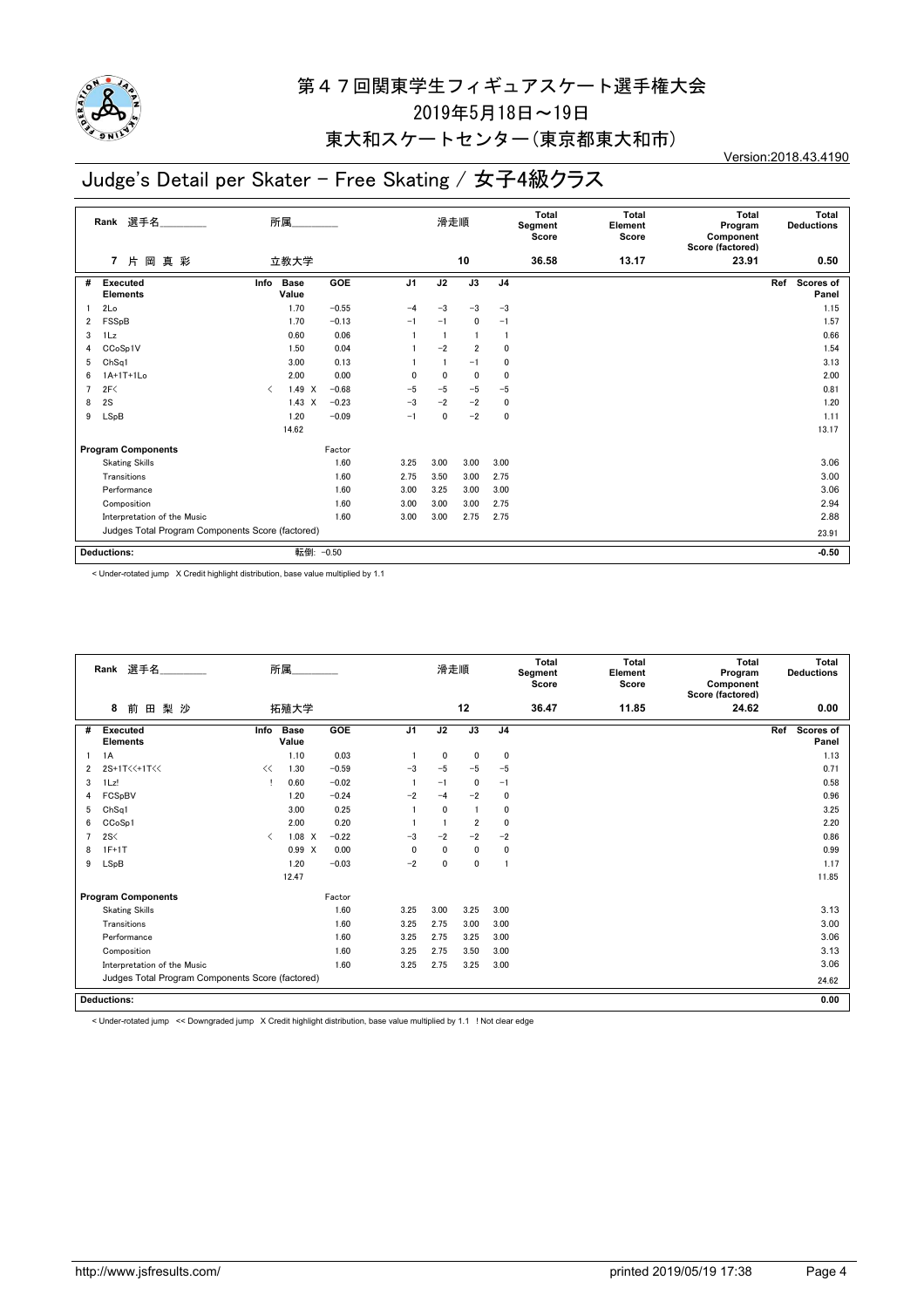

#### 東大和スケートセンター(東京都東大和市)

## Judge's Detail per Skater - Free Skating / 女子4級クラス

Version:2018.43.4190

| 岡<br>真 彩<br>36.58<br>23.91<br>片<br>立教大学<br>10<br>13.17<br>0.50<br>$\overline{7}$<br>J <sub>1</sub><br>J2<br>$\overline{J3}$<br>J <sub>4</sub><br><b>Base</b><br>GOE<br>Scores of<br>#<br><b>Executed</b><br>Info<br>Ref<br>Value<br><b>Elements</b><br>Panel<br>1.70<br>$-0.55$<br>$-3$<br>1.15<br>2Lo<br>$-3$<br>$-3$<br>-4<br>FSSpB<br>1.70<br>$-0.13$<br>1.57<br>0<br>$\overline{2}$<br>$-1$<br>$-1$<br>$-1$<br>0.06<br>1Lz<br>0.60<br>0.66<br>3<br>$-2$<br>CCoSp1V<br>1.50<br>0.04<br>$\overline{2}$<br>0<br>1.54<br>4<br>ChSq1<br>3.00<br>0.13<br>3.13<br>0<br>5<br>$-1$<br>1A+1T+1Lo<br>2.00<br>0.00<br>2.00<br>0<br>0<br>0<br>0<br>6<br>1.49 X<br>2F<<br>$-0.68$<br>$-5$<br>$-5$<br>$-5$<br>$-5$<br>0.81<br>7<br>$\overline{\left( \right. }%$<br>$1.43 \times$<br>2S<br>$-0.23$<br>$-3$<br>$-2$<br>$-2$<br>0<br>1.20<br>8<br>1.20<br>$-0.09$<br>0<br>$-2$<br>0<br>1.11<br>LSpB<br>9<br>$-1$<br>14.62<br>13.17<br>Factor<br><b>Program Components</b><br>3.06<br>3.00<br>3.00<br><b>Skating Skills</b><br>1.60<br>3.25<br>3.00<br>3.00<br>1.60<br>2.75<br>3.00<br>2.75<br>Transitions<br>3.50<br>1.60<br>3.00<br>3.00<br>3.06<br>3.25<br>3.00<br>Performance<br>2.94<br>Composition<br>1.60<br>3.00<br>3.00<br>2.75<br>3.00<br>2.88<br>Interpretation of the Music<br>1.60<br>3.00<br>3.00<br>2.75<br>2.75<br>Judges Total Program Components Score (factored)<br>23.91 | 選手名<br>Rank | 所属 |  | 滑走順 |  | Total<br>Segment<br>Score | Total<br>Element<br>Score | Total<br>Program<br>Component<br>Score (factored) | Total<br><b>Deductions</b> |
|--------------------------------------------------------------------------------------------------------------------------------------------------------------------------------------------------------------------------------------------------------------------------------------------------------------------------------------------------------------------------------------------------------------------------------------------------------------------------------------------------------------------------------------------------------------------------------------------------------------------------------------------------------------------------------------------------------------------------------------------------------------------------------------------------------------------------------------------------------------------------------------------------------------------------------------------------------------------------------------------------------------------------------------------------------------------------------------------------------------------------------------------------------------------------------------------------------------------------------------------------------------------------------------------------------------------------------------------------------------------------------|-------------|----|--|-----|--|---------------------------|---------------------------|---------------------------------------------------|----------------------------|
|                                                                                                                                                                                                                                                                                                                                                                                                                                                                                                                                                                                                                                                                                                                                                                                                                                                                                                                                                                                                                                                                                                                                                                                                                                                                                                                                                                                |             |    |  |     |  |                           |                           |                                                   |                            |
|                                                                                                                                                                                                                                                                                                                                                                                                                                                                                                                                                                                                                                                                                                                                                                                                                                                                                                                                                                                                                                                                                                                                                                                                                                                                                                                                                                                |             |    |  |     |  |                           |                           |                                                   |                            |
|                                                                                                                                                                                                                                                                                                                                                                                                                                                                                                                                                                                                                                                                                                                                                                                                                                                                                                                                                                                                                                                                                                                                                                                                                                                                                                                                                                                |             |    |  |     |  |                           |                           |                                                   |                            |
|                                                                                                                                                                                                                                                                                                                                                                                                                                                                                                                                                                                                                                                                                                                                                                                                                                                                                                                                                                                                                                                                                                                                                                                                                                                                                                                                                                                |             |    |  |     |  |                           |                           |                                                   |                            |
|                                                                                                                                                                                                                                                                                                                                                                                                                                                                                                                                                                                                                                                                                                                                                                                                                                                                                                                                                                                                                                                                                                                                                                                                                                                                                                                                                                                |             |    |  |     |  |                           |                           |                                                   |                            |
|                                                                                                                                                                                                                                                                                                                                                                                                                                                                                                                                                                                                                                                                                                                                                                                                                                                                                                                                                                                                                                                                                                                                                                                                                                                                                                                                                                                |             |    |  |     |  |                           |                           |                                                   |                            |
|                                                                                                                                                                                                                                                                                                                                                                                                                                                                                                                                                                                                                                                                                                                                                                                                                                                                                                                                                                                                                                                                                                                                                                                                                                                                                                                                                                                |             |    |  |     |  |                           |                           |                                                   |                            |
|                                                                                                                                                                                                                                                                                                                                                                                                                                                                                                                                                                                                                                                                                                                                                                                                                                                                                                                                                                                                                                                                                                                                                                                                                                                                                                                                                                                |             |    |  |     |  |                           |                           |                                                   |                            |
|                                                                                                                                                                                                                                                                                                                                                                                                                                                                                                                                                                                                                                                                                                                                                                                                                                                                                                                                                                                                                                                                                                                                                                                                                                                                                                                                                                                |             |    |  |     |  |                           |                           |                                                   |                            |
|                                                                                                                                                                                                                                                                                                                                                                                                                                                                                                                                                                                                                                                                                                                                                                                                                                                                                                                                                                                                                                                                                                                                                                                                                                                                                                                                                                                |             |    |  |     |  |                           |                           |                                                   |                            |
|                                                                                                                                                                                                                                                                                                                                                                                                                                                                                                                                                                                                                                                                                                                                                                                                                                                                                                                                                                                                                                                                                                                                                                                                                                                                                                                                                                                |             |    |  |     |  |                           |                           |                                                   |                            |
|                                                                                                                                                                                                                                                                                                                                                                                                                                                                                                                                                                                                                                                                                                                                                                                                                                                                                                                                                                                                                                                                                                                                                                                                                                                                                                                                                                                |             |    |  |     |  |                           |                           |                                                   |                            |
|                                                                                                                                                                                                                                                                                                                                                                                                                                                                                                                                                                                                                                                                                                                                                                                                                                                                                                                                                                                                                                                                                                                                                                                                                                                                                                                                                                                |             |    |  |     |  |                           |                           |                                                   |                            |
|                                                                                                                                                                                                                                                                                                                                                                                                                                                                                                                                                                                                                                                                                                                                                                                                                                                                                                                                                                                                                                                                                                                                                                                                                                                                                                                                                                                |             |    |  |     |  |                           |                           |                                                   |                            |
|                                                                                                                                                                                                                                                                                                                                                                                                                                                                                                                                                                                                                                                                                                                                                                                                                                                                                                                                                                                                                                                                                                                                                                                                                                                                                                                                                                                |             |    |  |     |  |                           |                           |                                                   |                            |
|                                                                                                                                                                                                                                                                                                                                                                                                                                                                                                                                                                                                                                                                                                                                                                                                                                                                                                                                                                                                                                                                                                                                                                                                                                                                                                                                                                                |             |    |  |     |  |                           |                           |                                                   |                            |
|                                                                                                                                                                                                                                                                                                                                                                                                                                                                                                                                                                                                                                                                                                                                                                                                                                                                                                                                                                                                                                                                                                                                                                                                                                                                                                                                                                                |             |    |  |     |  |                           |                           |                                                   |                            |
|                                                                                                                                                                                                                                                                                                                                                                                                                                                                                                                                                                                                                                                                                                                                                                                                                                                                                                                                                                                                                                                                                                                                                                                                                                                                                                                                                                                |             |    |  |     |  |                           |                           |                                                   |                            |
|                                                                                                                                                                                                                                                                                                                                                                                                                                                                                                                                                                                                                                                                                                                                                                                                                                                                                                                                                                                                                                                                                                                                                                                                                                                                                                                                                                                |             |    |  |     |  |                           |                           |                                                   |                            |
| <b>Deductions:</b><br>転倒: -0.50                                                                                                                                                                                                                                                                                                                                                                                                                                                                                                                                                                                                                                                                                                                                                                                                                                                                                                                                                                                                                                                                                                                                                                                                                                                                                                                                                |             |    |  |     |  |                           |                           |                                                   | $-0.50$                    |

< Under-rotated jump X Credit highlight distribution, base value multiplied by 1.1

|                | 選手名<br>Rank                                      |           | 所属                   |            |                | 滑走順  |                |                | Total<br>Segment<br>Score | <b>Total</b><br>Element<br>Score | Total<br>Program<br>Component<br>Score (factored) | Total<br><b>Deductions</b> |
|----------------|--------------------------------------------------|-----------|----------------------|------------|----------------|------|----------------|----------------|---------------------------|----------------------------------|---------------------------------------------------|----------------------------|
|                | 前<br>田梨沙<br>8                                    |           | 拓殖大学                 |            |                |      | 12             |                | 36.47                     | 11.85                            | 24.62                                             | 0.00                       |
| #              | Executed<br><b>Elements</b>                      | Info      | <b>Base</b><br>Value | <b>GOE</b> | J <sub>1</sub> | J2   | J3             | J <sub>4</sub> |                           |                                  |                                                   | Scores of<br>Ref<br>Panel  |
|                | 1A                                               |           | 1.10                 | 0.03       |                | 0    | $\mathbf 0$    | $\mathbf 0$    |                           |                                  |                                                   | 1.13                       |
| $\overline{2}$ | 2S+1T<<+1T<<                                     | <<        | 1.30                 | $-0.59$    | $-3$           | $-5$ | $-5$           | $-5$           |                           |                                  |                                                   | 0.71                       |
| 3              | 1Lz!                                             |           | 0.60                 | $-0.02$    |                | $-1$ | 0              | $-1$           |                           |                                  |                                                   | 0.58                       |
| 4              | FCSpBV                                           |           | 1.20                 | $-0.24$    | $-2$           | $-4$ | $-2$           | 0              |                           |                                  |                                                   | 0.96                       |
| 5              | ChSq1                                            |           | 3.00                 | 0.25       |                | 0    |                | 0              |                           |                                  |                                                   | 3.25                       |
| 6              | CCoSp1                                           |           | 2.00                 | 0.20       |                |      | $\overline{2}$ | 0              |                           |                                  |                                                   | 2.20                       |
| $\overline{7}$ | 2S<                                              | $\langle$ | $1.08$ X             | $-0.22$    | $-3$           | $-2$ | $-2$           | $-2$           |                           |                                  |                                                   | 0.86                       |
| 8              | $1F+1T$                                          |           | 0.99 X               | 0.00       | $\mathbf{0}$   | 0    | 0              | 0              |                           |                                  |                                                   | 0.99                       |
| 9              | LSpB                                             |           | 1.20                 | $-0.03$    | $-2$           | 0    | $\mathbf 0$    | 1              |                           |                                  |                                                   | 1.17                       |
|                |                                                  |           | 12.47                |            |                |      |                |                |                           |                                  |                                                   | 11.85                      |
|                | <b>Program Components</b>                        |           |                      | Factor     |                |      |                |                |                           |                                  |                                                   |                            |
|                | <b>Skating Skills</b>                            |           |                      | 1.60       | 3.25           | 3.00 | 3.25           | 3.00           |                           |                                  |                                                   | 3.13                       |
|                | Transitions                                      |           |                      | 1.60       | 3.25           | 2.75 | 3.00           | 3.00           |                           |                                  |                                                   | 3.00                       |
|                | Performance                                      |           |                      | 1.60       | 3.25           | 2.75 | 3.25           | 3.00           |                           |                                  |                                                   | 3.06                       |
|                | Composition                                      |           |                      | 1.60       | 3.25           | 2.75 | 3.50           | 3.00           |                           |                                  |                                                   | 3.13                       |
|                | Interpretation of the Music                      |           |                      | 1.60       | 3.25           | 2.75 | 3.25           | 3.00           |                           |                                  |                                                   | 3.06                       |
|                | Judges Total Program Components Score (factored) |           |                      |            |                |      |                |                |                           |                                  |                                                   | 24.62                      |
|                |                                                  |           |                      |            |                |      |                |                |                           |                                  |                                                   |                            |
|                | <b>Deductions:</b>                               |           |                      |            |                |      |                |                |                           |                                  |                                                   | 0.00                       |

< Under-rotated jump << Downgraded jump X Credit highlight distribution, base value multiplied by 1.1 ! Not clear edge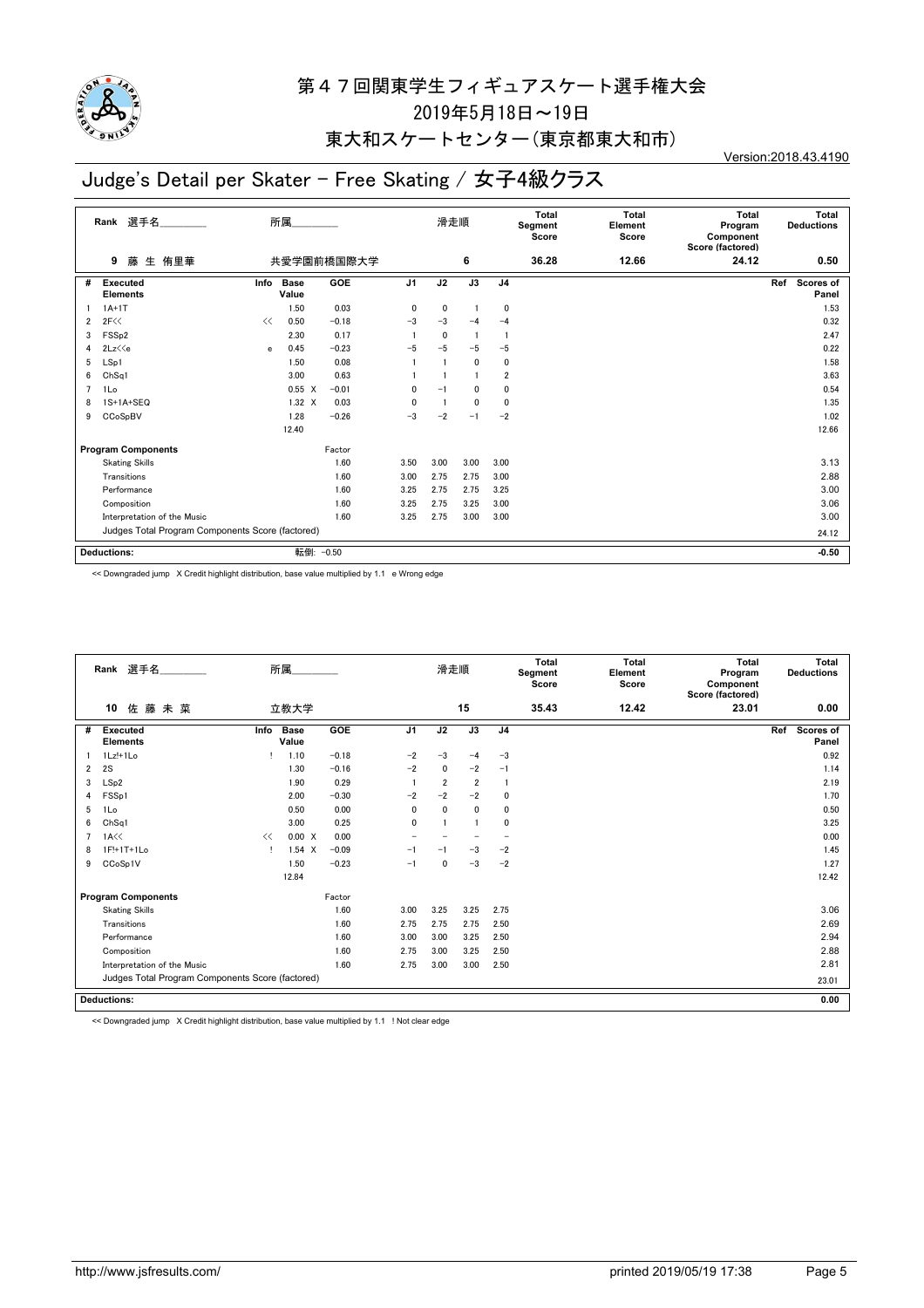

## 東大和スケートセンター(東京都東大和市)

# Judge's Detail per Skater - Free Skating / 女子4級クラス

Version:2018.43.4190

|                | Rank 選手名                                         |      | 所属                   |            |                | 滑走順          |              |                | Total<br>Segment<br>Score | Total<br>Element<br>Score | <b>Total</b><br>Program<br>Component<br>Score (factored) | Total<br><b>Deductions</b> |
|----------------|--------------------------------------------------|------|----------------------|------------|----------------|--------------|--------------|----------------|---------------------------|---------------------------|----------------------------------------------------------|----------------------------|
|                | 9<br>藤 生 侑里華                                     |      |                      | 共愛学園前橋国際大学 |                |              | 6            |                | 36.28                     | 12.66                     | 24.12                                                    | 0.50                       |
| #              | <b>Executed</b><br><b>Elements</b>               | Info | <b>Base</b><br>Value | GOE        | J <sub>1</sub> | J2           | J3           | J <sub>4</sub> |                           |                           |                                                          | Ref<br>Scores of<br>Panel  |
|                | $1A+1T$                                          |      | 1.50                 | 0.03       | $\mathbf 0$    | $\mathbf 0$  |              | 0              |                           |                           |                                                          | 1.53                       |
| $\overline{2}$ | 2F<<                                             | <<   | 0.50                 | $-0.18$    | $-3$           | $-3$         | $-4$         | $-4$           |                           |                           |                                                          | 0.32                       |
| 3              | FSS <sub>p2</sub>                                |      | 2.30                 | 0.17       |                | 0            | $\mathbf{1}$ |                |                           |                           |                                                          | 2.47                       |
| 4              | $2Lz \leq c$                                     | e    | 0.45                 | $-0.23$    | $-5$           | $-5$         | $-5$         | $-5$           |                           |                           |                                                          | 0.22                       |
| 5              | LSp1                                             |      | 1.50                 | 0.08       |                | $\mathbf{1}$ | $\mathbf 0$  | 0              |                           |                           |                                                          | 1.58                       |
| 6              | ChSq1                                            |      | 3.00                 | 0.63       |                |              |              | $\overline{2}$ |                           |                           |                                                          | 3.63                       |
|                | 1Lo                                              |      | $0.55 \quad X$       | $-0.01$    | 0              | $-1$         | 0            | 0              |                           |                           |                                                          | 0.54                       |
| 8              | 1S+1A+SEQ                                        |      | $1.32 \times$        | 0.03       | $\mathbf 0$    |              | $\mathbf{0}$ | 0              |                           |                           |                                                          | 1.35                       |
| 9              | CCoSpBV                                          |      | 1.28                 | $-0.26$    | -3             | $-2$         | $-1$         | $-2$           |                           |                           |                                                          | 1.02                       |
|                |                                                  |      | 12.40                |            |                |              |              |                |                           |                           |                                                          | 12.66                      |
|                | <b>Program Components</b>                        |      |                      | Factor     |                |              |              |                |                           |                           |                                                          |                            |
|                | <b>Skating Skills</b>                            |      |                      | 1.60       | 3.50           | 3.00         | 3.00         | 3.00           |                           |                           |                                                          | 3.13                       |
|                | Transitions                                      |      |                      | 1.60       | 3.00           | 2.75         | 2.75         | 3.00           |                           |                           |                                                          | 2.88                       |
|                | Performance                                      |      |                      | 1.60       | 3.25           | 2.75         | 2.75         | 3.25           |                           |                           |                                                          | 3.00                       |
|                | Composition                                      |      |                      | 1.60       | 3.25           | 2.75         | 3.25         | 3.00           |                           |                           |                                                          | 3.06                       |
|                | Interpretation of the Music                      |      |                      | 1.60       | 3.25           | 2.75         | 3.00         | 3.00           |                           |                           |                                                          | 3.00                       |
|                | Judges Total Program Components Score (factored) |      |                      |            |                |              |              |                |                           |                           |                                                          | 24.12                      |
|                | <b>Deductions:</b>                               |      | 転倒:                  | $-0.50$    |                |              |              |                |                           |                           |                                                          | $-0.50$                    |

<< Downgraded jump X Credit highlight distribution, base value multiplied by 1.1 e Wrong edge

|                | Rank 選手名                                         |      | 所属                   |         |                | 滑走順            |                |                | Total<br>Segment<br>Score | Total<br>Element<br>Score | Total<br>Program<br>Component<br>Score (factored) | <b>Total</b><br><b>Deductions</b> |
|----------------|--------------------------------------------------|------|----------------------|---------|----------------|----------------|----------------|----------------|---------------------------|---------------------------|---------------------------------------------------|-----------------------------------|
|                | 佐藤未菜<br>10                                       |      | 立教大学                 |         |                |                | 15             |                | 35.43                     | 12.42                     | 23.01                                             | 0.00                              |
| #              | Executed<br><b>Elements</b>                      | Info | <b>Base</b><br>Value | GOE     | J <sub>1</sub> | J2             | J3             | J <sub>4</sub> |                           |                           |                                                   | Ref<br>Scores of<br>Panel         |
|                | $1Lz!+1Lo$                                       | л.   | 1.10                 | $-0.18$ | $-2$           | $-3$           | $-4$           | $-3$           |                           |                           |                                                   | 0.92                              |
| $\overline{2}$ | 2S                                               |      | 1.30                 | $-0.16$ | $-2$           | $\mathbf{0}$   | $-2$           | $-1$           |                           |                           |                                                   | 1.14                              |
| 3              | LSp2                                             |      | 1.90                 | 0.29    |                | $\overline{2}$ | $\overline{2}$ | $\mathbf{1}$   |                           |                           |                                                   | 2.19                              |
| 4              | FSSp1                                            |      | 2.00                 | $-0.30$ | $-2$           | $-2$           | $-2$           | 0              |                           |                           |                                                   | 1.70                              |
| 5              | 1Lo                                              |      | 0.50                 | 0.00    | 0              | $\mathbf 0$    | $\mathbf 0$    | 0              |                           |                           |                                                   | 0.50                              |
| 6              | ChSq1                                            |      | 3.00                 | 0.25    | 0              |                |                | 0              |                           |                           |                                                   | 3.25                              |
| $\overline{7}$ | 1A<<                                             | <<   | 0.00 X               | 0.00    |                |                |                |                |                           |                           |                                                   | 0.00                              |
| 8              | 1F!+1T+1Lo                                       |      | $1.54 \times$        | $-0.09$ | $-1$           | -1             | $-3$           | $-2$           |                           |                           |                                                   | 1.45                              |
| 9              | CCoSp1V                                          |      | 1.50                 | $-0.23$ | $-1$           | 0              | $-3$           | $-2$           |                           |                           |                                                   | 1.27                              |
|                |                                                  |      | 12.84                |         |                |                |                |                |                           |                           |                                                   | 12.42                             |
|                | <b>Program Components</b>                        |      |                      | Factor  |                |                |                |                |                           |                           |                                                   |                                   |
|                | <b>Skating Skills</b>                            |      |                      | 1.60    | 3.00           | 3.25           | 3.25           | 2.75           |                           |                           |                                                   | 3.06                              |
|                | Transitions                                      |      |                      | 1.60    | 2.75           | 2.75           | 2.75           | 2.50           |                           |                           |                                                   | 2.69                              |
|                | Performance                                      |      |                      | 1.60    | 3.00           | 3.00           | 3.25           | 2.50           |                           |                           |                                                   | 2.94                              |
|                | Composition                                      |      |                      | 1.60    | 2.75           | 3.00           | 3.25           | 2.50           |                           |                           |                                                   | 2.88                              |
|                | Interpretation of the Music                      |      |                      | 1.60    | 2.75           | 3.00           | 3.00           | 2.50           |                           |                           |                                                   | 2.81                              |
|                | Judges Total Program Components Score (factored) |      |                      |         |                |                |                |                |                           |                           |                                                   | 23.01                             |
|                |                                                  |      |                      |         |                |                |                |                |                           |                           |                                                   |                                   |
|                | <b>Deductions:</b>                               |      |                      |         |                |                |                |                |                           |                           |                                                   | 0.00                              |

<< Downgraded jump X Credit highlight distribution, base value multiplied by 1.1 ! Not clear edge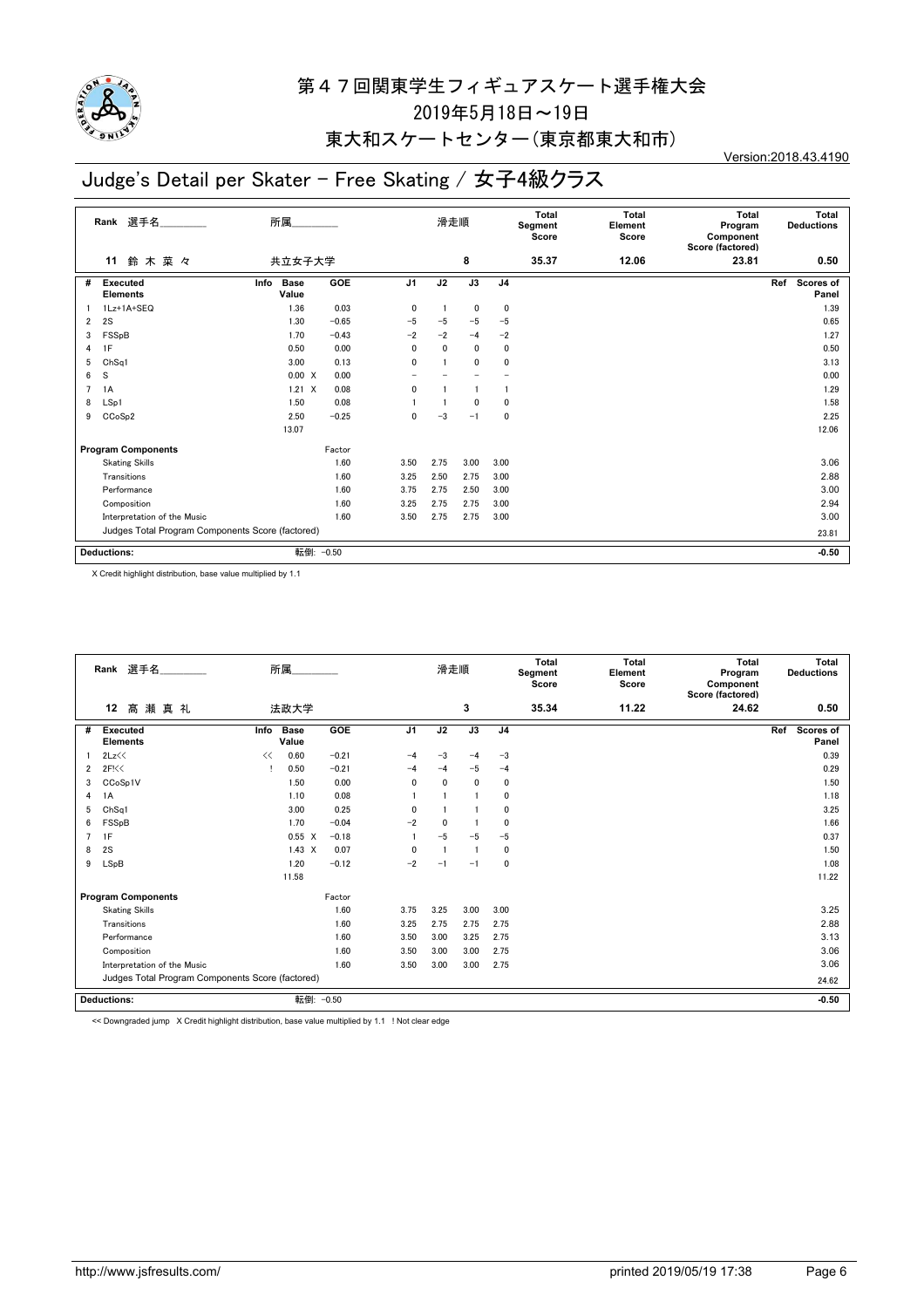

#### 東大和スケートセンター(東京都東大和市)

## Judge's Detail per Skater - Free Skating / 女子4級クラス

Version:2018.43.4190

|                | 選手名<br>Rank                                      | 所属                           |            |                          | 滑走順          |                 |                | <b>Total</b><br>Segment<br>Score | <b>Total</b><br>Element<br>Score | <b>Total</b><br>Program<br>Component<br>Score (factored) | Total<br><b>Deductions</b>       |
|----------------|--------------------------------------------------|------------------------------|------------|--------------------------|--------------|-----------------|----------------|----------------------------------|----------------------------------|----------------------------------------------------------|----------------------------------|
|                | 鈴木菜々<br>11                                       | 共立女子大学                       |            |                          |              | 8               |                | 35.37                            | 12.06                            | 23.81                                                    | 0.50                             |
| #              | Executed<br><b>Elements</b>                      | Info<br><b>Base</b><br>Value | <b>GOE</b> | J <sub>1</sub>           | J2           | $\overline{J3}$ | J <sub>4</sub> |                                  |                                  |                                                          | <b>Scores of</b><br>Ref<br>Panel |
|                | 1Lz+1A+SEQ                                       | 1.36                         | 0.03       | 0                        |              | 0               | 0              |                                  |                                  |                                                          | 1.39                             |
| 2              | 2S                                               | 1.30                         | $-0.65$    | $-5$                     | $-5$         | $-5$            | $-5$           |                                  |                                  |                                                          | 0.65                             |
| 3              | FSSpB                                            | 1.70                         | $-0.43$    | $-2$                     | $-2$         | $-4$            | $-2$           |                                  |                                  |                                                          | 1.27                             |
| 4              | 1F                                               | 0.50                         | 0.00       | $\mathbf 0$              | $\mathbf{0}$ | 0               | $\mathbf 0$    |                                  |                                  |                                                          | 0.50                             |
| 5              | Ch <sub>Sq1</sub>                                | 3.00                         | 0.13       | 0                        |              | 0               | 0              |                                  |                                  |                                                          | 3.13                             |
| 6              | S                                                | 0.00 X                       | 0.00       | $\overline{\phantom{0}}$ |              |                 |                |                                  |                                  |                                                          | 0.00                             |
| $\overline{7}$ | 1A                                               | $1.21 \times$                | 0.08       | 0                        |              |                 |                |                                  |                                  |                                                          | 1.29                             |
| 8              | LSp1                                             | 1.50                         | 0.08       |                          |              | 0               | 0              |                                  |                                  |                                                          | 1.58                             |
| 9              | CCoSp2                                           | 2.50                         | $-0.25$    | 0                        | $-3$         | $-1$            | $\mathbf 0$    |                                  |                                  |                                                          | 2.25                             |
|                |                                                  | 13.07                        |            |                          |              |                 |                |                                  |                                  |                                                          | 12.06                            |
|                | <b>Program Components</b>                        |                              | Factor     |                          |              |                 |                |                                  |                                  |                                                          |                                  |
|                | <b>Skating Skills</b>                            |                              | 1.60       | 3.50                     | 2.75         | 3.00            | 3.00           |                                  |                                  |                                                          | 3.06                             |
|                | Transitions                                      |                              | 1.60       | 3.25                     | 2.50         | 2.75            | 3.00           |                                  |                                  |                                                          | 2.88                             |
|                | Performance                                      |                              | 1.60       | 3.75                     | 2.75         | 2.50            | 3.00           |                                  |                                  |                                                          | 3.00                             |
|                | Composition                                      |                              | 1.60       | 3.25                     | 2.75         | 2.75            | 3.00           |                                  |                                  |                                                          | 2.94                             |
|                | Interpretation of the Music                      |                              | 1.60       | 3.50                     | 2.75         | 2.75            | 3.00           |                                  |                                  |                                                          | 3.00                             |
|                | Judges Total Program Components Score (factored) |                              |            |                          |              |                 |                |                                  |                                  |                                                          | 23.81                            |
|                |                                                  |                              |            |                          |              |                 |                |                                  |                                  |                                                          |                                  |
|                | <b>Deductions:</b>                               | 転倒: -0.50                    |            |                          |              |                 |                |                                  |                                  |                                                          | $-0.50$                          |

X Credit highlight distribution, base value multiplied by 1.1

|   | Rank 選手名                                         | 所属.  |                      |            |                | 滑走順          |                |                | Total<br>Segment<br>Score | Total<br>Element<br>Score | Total<br>Program<br>Component<br>Score (factored) | Total<br><b>Deductions</b> |
|---|--------------------------------------------------|------|----------------------|------------|----------------|--------------|----------------|----------------|---------------------------|---------------------------|---------------------------------------------------|----------------------------|
|   | 高瀬真礼<br>12                                       |      | 法政大学                 |            |                |              | 3              |                | 35.34                     | 11.22                     | 24.62                                             | 0.50                       |
| # | <b>Executed</b><br><b>Elements</b>               | Info | <b>Base</b><br>Value | <b>GOE</b> | J <sub>1</sub> | J2           | J3             | J <sub>4</sub> |                           |                           |                                                   | Scores of<br>Ref<br>Panel  |
|   | 2Lz<<                                            | <<   | 0.60                 | $-0.21$    | $-4$           | $-3$         | $-4$           | $-3$           |                           |                           |                                                   | 0.39                       |
| 2 | 2F<                                              |      | 0.50                 | $-0.21$    | $-4$           | $-4$         | $-5$           | $-4$           |                           |                           |                                                   | 0.29                       |
| 3 | CCoSp1V                                          |      | 1.50                 | 0.00       | 0              | $\mathbf{0}$ | $\mathbf 0$    | 0              |                           |                           |                                                   | 1.50                       |
| 4 | 1A                                               |      | 1.10                 | 0.08       |                |              | 1              | 0              |                           |                           |                                                   | 1.18                       |
| 5 | Ch <sub>Sq1</sub>                                |      | 3.00                 | 0.25       | 0              |              |                | 0              |                           |                           |                                                   | 3.25                       |
| 6 | FSSpB                                            |      | 1.70                 | $-0.04$    | $-2$           | $\Omega$     |                | 0              |                           |                           |                                                   | 1.66                       |
| 7 | 1F                                               |      | $0.55 \quad X$       | $-0.18$    |                | $-5$         | $-5$           | $-5$           |                           |                           |                                                   | 0.37                       |
| 8 | 2S                                               |      | $1.43 \times$        | 0.07       | $\mathbf{0}$   |              | $\overline{1}$ | 0              |                           |                           |                                                   | 1.50                       |
| 9 | <b>LSpB</b>                                      |      | 1.20                 | $-0.12$    | $-2$           | $-1$         | $-1$           | 0              |                           |                           |                                                   | 1.08                       |
|   |                                                  |      | 11.58                |            |                |              |                |                |                           |                           |                                                   | 11.22                      |
|   | <b>Program Components</b>                        |      |                      | Factor     |                |              |                |                |                           |                           |                                                   |                            |
|   | <b>Skating Skills</b>                            |      |                      | 1.60       | 3.75           | 3.25         | 3.00           | 3.00           |                           |                           |                                                   | 3.25                       |
|   | Transitions                                      |      |                      | 1.60       | 3.25           | 2.75         | 2.75           | 2.75           |                           |                           |                                                   | 2.88                       |
|   | Performance                                      |      |                      | 1.60       | 3.50           | 3.00         | 3.25           | 2.75           |                           |                           |                                                   | 3.13                       |
|   | Composition                                      |      |                      | 1.60       | 3.50           | 3.00         | 3.00           | 2.75           |                           |                           |                                                   | 3.06                       |
|   | Interpretation of the Music                      |      |                      | 1.60       | 3.50           | 3.00         | 3.00           | 2.75           |                           |                           |                                                   | 3.06                       |
|   | Judges Total Program Components Score (factored) |      |                      |            |                |              |                |                |                           |                           |                                                   | 24.62                      |
|   | <b>Deductions:</b>                               |      | 転倒: -0.50            |            |                |              |                |                |                           |                           |                                                   | $-0.50$                    |
|   |                                                  |      |                      |            |                |              |                |                |                           |                           |                                                   |                            |

<< Downgraded jump X Credit highlight distribution, base value multiplied by 1.1 ! Not clear edge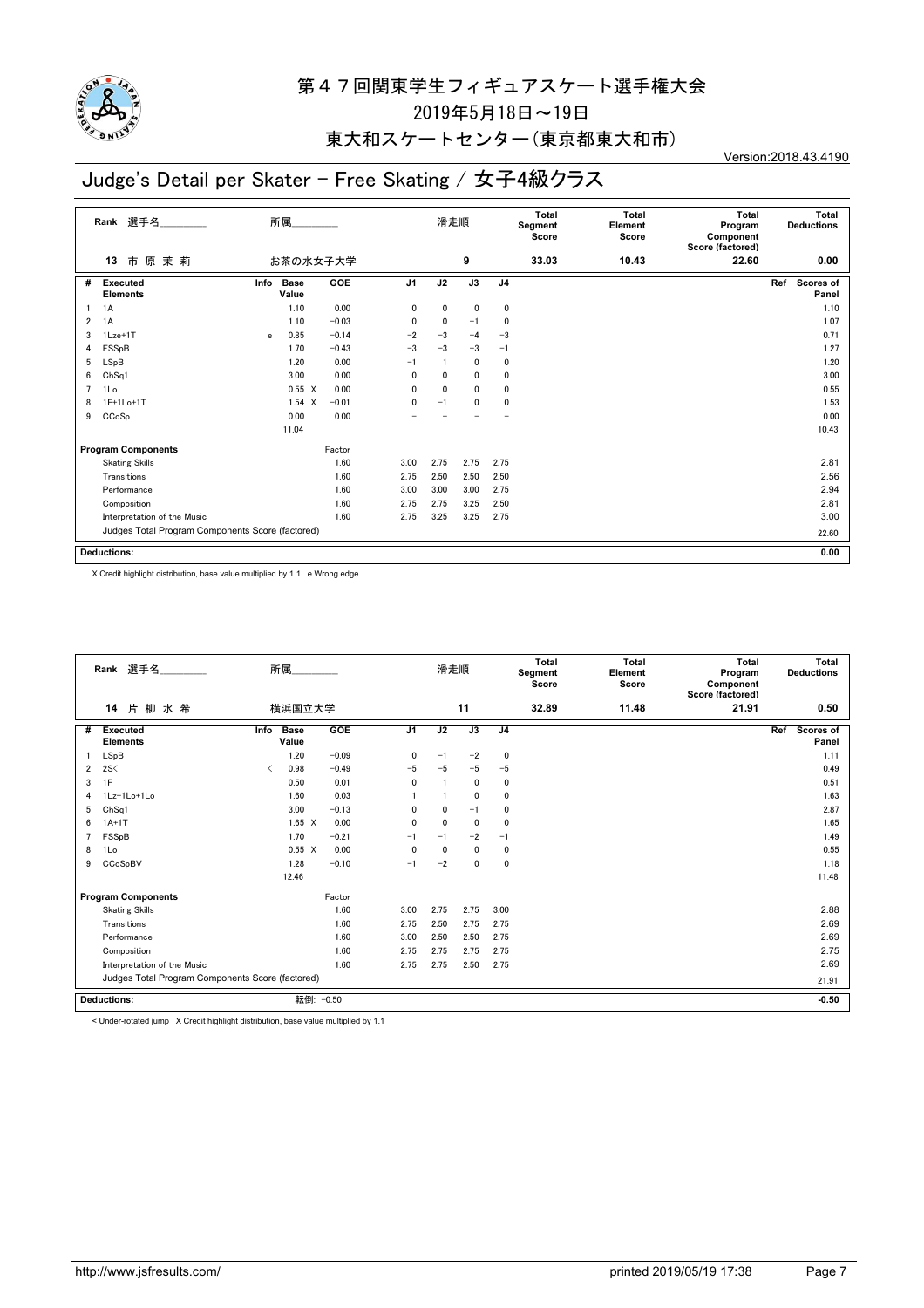

#### 東大和スケートセンター(東京都東大和市)

## Judge's Detail per Skater - Free Skating / 女子4級クラス

Version:2018.43.4190

| 所属<br>選手名<br>Rank |                                                  |                              |         |                | 滑走順      |                 |                | Total<br>Segment<br>Score | Total<br>Element<br>Score | Total<br>Program<br>Component<br>Score (factored) | Total<br><b>Deductions</b> |  |
|-------------------|--------------------------------------------------|------------------------------|---------|----------------|----------|-----------------|----------------|---------------------------|---------------------------|---------------------------------------------------|----------------------------|--|
|                   | 市原茉莉<br>お茶の水女子大学<br>13                           |                              |         |                | 9        |                 |                | 33.03                     | 10.43                     | 22.60                                             | 0.00                       |  |
| #                 | <b>Executed</b><br><b>Elements</b>               | Info<br><b>Base</b><br>Value | GOE     | J <sub>1</sub> | J2       | $\overline{J3}$ | J <sub>4</sub> |                           |                           |                                                   | Scores of<br>Ref<br>Panel  |  |
|                   | 1A                                               | 1.10                         | 0.00    | 0              | 0        | 0               | 0              |                           |                           |                                                   | 1.10                       |  |
| $\overline{2}$    | 1A                                               | 1.10                         | $-0.03$ | 0              | 0        | $-1$            | 0              |                           |                           |                                                   | 1.07                       |  |
| 3                 | $1$ Lze $+1$ T                                   | 0.85<br>e                    | $-0.14$ | $-2$           | $-3$     | $-4$            | $-3$           |                           |                           |                                                   | 0.71                       |  |
| 4                 | FSSpB                                            | 1.70                         | $-0.43$ | $-3$           | $-3$     | $-3$            | $-1$           |                           |                           |                                                   | 1.27                       |  |
| 5                 | LSpB                                             | 1.20                         | 0.00    | $-1$           |          | 0               | 0              |                           |                           |                                                   | 1.20                       |  |
| 6                 | Ch <sub>Sq1</sub>                                | 3.00                         | 0.00    | 0              | 0        | 0               | 0              |                           |                           |                                                   | 3.00                       |  |
| $\overline{7}$    | 1Lo                                              | $0.55 \quad X$               | 0.00    | 0              | $\Omega$ | 0               | 0              |                           |                           |                                                   | 0.55                       |  |
| 8                 | $1F+1Lo+1T$                                      | $1.54 \times$                | $-0.01$ | 0              | $-1$     | 0               | 0              |                           |                           |                                                   | 1.53                       |  |
| 9                 | CCoSp                                            | 0.00                         | 0.00    |                |          |                 |                |                           |                           |                                                   | 0.00                       |  |
|                   |                                                  | 11.04                        |         |                |          |                 |                |                           |                           |                                                   | 10.43                      |  |
|                   | Factor<br><b>Program Components</b>              |                              |         |                |          |                 |                |                           |                           |                                                   |                            |  |
|                   | <b>Skating Skills</b>                            |                              | 1.60    | 3.00           | 2.75     | 2.75            | 2.75           |                           |                           |                                                   | 2.81                       |  |
|                   | Transitions                                      |                              | 1.60    | 2.75           | 2.50     | 2.50            | 2.50           |                           |                           |                                                   | 2.56                       |  |
|                   | Performance                                      |                              | 1.60    | 3.00           | 3.00     | 3.00            | 2.75           |                           |                           |                                                   | 2.94                       |  |
|                   | Composition                                      |                              | 1.60    | 2.75           | 2.75     | 3.25            | 2.50           |                           |                           |                                                   | 2.81                       |  |
|                   | Interpretation of the Music                      |                              | 1.60    | 2.75           | 3.25     | 3.25            | 2.75           |                           |                           |                                                   | 3.00                       |  |
|                   | Judges Total Program Components Score (factored) |                              |         |                |          |                 |                |                           |                           |                                                   | 22.60                      |  |
|                   |                                                  |                              |         |                |          |                 |                |                           |                           |                                                   |                            |  |
|                   | <b>Deductions:</b>                               |                              |         |                |          |                 |                |                           |                           |                                                   | 0.00                       |  |

X Credit highlight distribution, base value multiplied by 1.1 e Wrong edge

| Rank 選手名 |                                                  |                                          | 所属                   |         |                | 滑走順          |              |                | <b>Total</b><br>Segment<br>Score | <b>Total</b><br>Element<br>Score | Total<br>Program<br>Component<br>Score (factored) | Total<br><b>Deductions</b> |  |
|----------|--------------------------------------------------|------------------------------------------|----------------------|---------|----------------|--------------|--------------|----------------|----------------------------------|----------------------------------|---------------------------------------------------|----------------------------|--|
|          | 片柳水希<br>14<br>横浜国立大学                             |                                          |                      | 11      |                |              | 32.89        | 11.48          | 21.91                            | 0.50                             |                                                   |                            |  |
| #        | <b>Executed</b><br><b>Elements</b>               | Info                                     | <b>Base</b><br>Value | GOE     | J <sub>1</sub> | J2           | J3           | J <sub>4</sub> |                                  |                                  |                                                   | Ref<br>Scores of<br>Panel  |  |
|          | LSpB                                             |                                          | 1.20                 | $-0.09$ | 0              | $-1$         | $-2$         | 0              |                                  |                                  |                                                   | 1.11                       |  |
| 2        | 2S<                                              | $\overline{\left\langle \right\rangle }$ | 0.98                 | $-0.49$ | $-5$           | $-5$         | $-5$         | $-5$           |                                  |                                  |                                                   | 0.49                       |  |
| 3        | 1F                                               |                                          | 0.50                 | 0.01    | $\mathbf{0}$   |              | $\mathbf{0}$ | $\mathbf 0$    |                                  |                                  |                                                   | 0.51                       |  |
| 4        | 1Lz+1Lo+1Lo                                      |                                          | 1.60                 | 0.03    |                |              | $\mathbf 0$  | $\mathbf 0$    |                                  |                                  |                                                   | 1.63                       |  |
| 5        | ChSq1                                            |                                          | 3.00                 | $-0.13$ | 0              | $\mathbf{0}$ | $-1$         | 0              |                                  |                                  |                                                   | 2.87                       |  |
| 6        | $1A+1T$                                          |                                          | $1.65 \quad X$       | 0.00    | $\Omega$       | $\mathbf{0}$ | $\mathbf{0}$ | $\Omega$       |                                  |                                  |                                                   | 1.65                       |  |
| 7        | FSSpB                                            |                                          | 1.70                 | $-0.21$ | $-1$           | $-1$         | $-2$         | $-1$           |                                  |                                  |                                                   | 1.49                       |  |
| 8        | 1Lo                                              |                                          | $0.55 \quad X$       | 0.00    | $\mathbf 0$    | 0            | $\mathbf{0}$ | 0              |                                  |                                  |                                                   | 0.55                       |  |
| 9        | CCoSpBV                                          |                                          | 1.28                 | $-0.10$ | $-1$           | $-2$         | $\mathbf 0$  | 0              |                                  |                                  |                                                   | 1.18                       |  |
|          |                                                  |                                          | 12.46                |         |                |              |              |                |                                  |                                  |                                                   | 11.48                      |  |
|          | <b>Program Components</b>                        |                                          |                      | Factor  |                |              |              |                |                                  |                                  |                                                   |                            |  |
|          | <b>Skating Skills</b>                            |                                          |                      | 1.60    | 3.00           | 2.75         | 2.75         | 3.00           |                                  |                                  |                                                   | 2.88                       |  |
|          | Transitions                                      |                                          |                      | 1.60    | 2.75           | 2.50         | 2.75         | 2.75           |                                  |                                  |                                                   | 2.69                       |  |
|          | Performance                                      |                                          |                      | 1.60    | 3.00           | 2.50         | 2.50         | 2.75           |                                  |                                  |                                                   | 2.69                       |  |
|          | Composition                                      |                                          |                      | 1.60    | 2.75           | 2.75         | 2.75         | 2.75           |                                  |                                  |                                                   | 2.75                       |  |
|          | Interpretation of the Music                      |                                          |                      | 1.60    | 2.75           | 2.75         | 2.50         | 2.75           |                                  |                                  |                                                   | 2.69                       |  |
|          | Judges Total Program Components Score (factored) |                                          |                      |         |                |              |              |                |                                  |                                  |                                                   | 21.91                      |  |
|          |                                                  |                                          |                      |         |                |              |              |                |                                  |                                  |                                                   |                            |  |
|          | <b>Deductions:</b>                               | 転倒: -0.50                                |                      |         |                |              |              |                |                                  |                                  | $-0.50$                                           |                            |  |

< Under-rotated jump X Credit highlight distribution, base value multiplied by 1.1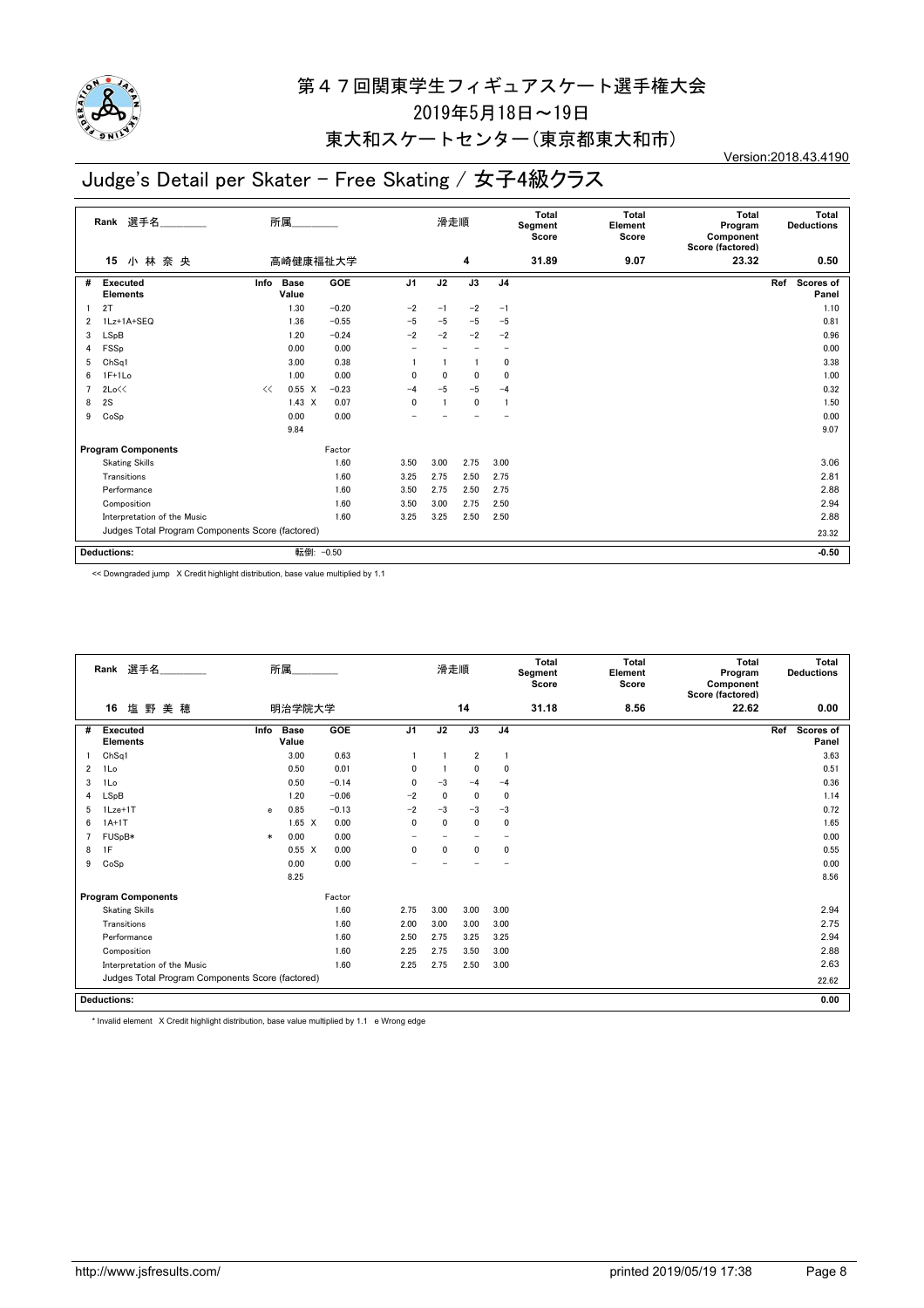

#### 東大和スケートセンター(東京都東大和市)

## Judge's Detail per Skater - Free Skating / 女子4級クラス

Version:2018.43.4190

|                | 所属<br>Rank 選手名                                   |                              |            |                |      | 滑走順          |                          | <b>Total</b><br>Segment<br>Score | <b>Total</b><br>Element<br>Score | <b>Total</b><br>Program<br>Component<br>Score (factored) | Total<br><b>Deductions</b> |
|----------------|--------------------------------------------------|------------------------------|------------|----------------|------|--------------|--------------------------|----------------------------------|----------------------------------|----------------------------------------------------------|----------------------------|
|                | 小林奈央<br>高崎健康福祉大学<br>15                           |                              |            |                |      | 4            |                          | 31.89                            | 9.07                             | 23.32                                                    | 0.50                       |
| #              | Executed<br><b>Elements</b>                      | Info<br><b>Base</b><br>Value | <b>GOE</b> | J <sub>1</sub> | J2   | J3           | J <sub>4</sub>           |                                  |                                  |                                                          | Scores of<br>Ref<br>Panel  |
|                | 2T                                               | 1.30                         | $-0.20$    | $-2$           | $-1$ | $-2$         | $-1$                     |                                  |                                  |                                                          | 1.10                       |
| 2              | 1Lz+1A+SEQ                                       | 1.36                         | $-0.55$    | $-5$           | $-5$ | $-5$         | $-5$                     |                                  |                                  |                                                          | 0.81                       |
| 3              | LSpB                                             | 1.20                         | $-0.24$    | $-2$           | $-2$ | $-2$         | $-2$                     |                                  |                                  |                                                          | 0.96                       |
| 4              | FSSp                                             | 0.00                         | 0.00       |                |      |              | $\overline{\phantom{0}}$ |                                  |                                  |                                                          | 0.00                       |
| 5              | Ch <sub>Sq1</sub>                                | 3.00                         | 0.38       |                |      |              | 0                        |                                  |                                  |                                                          | 3.38                       |
| 6              | $1F+1Lo$                                         | 1.00                         | 0.00       | 0              | 0    | 0            | 0                        |                                  |                                  |                                                          | 1.00                       |
| $\overline{7}$ | 2Lo<<                                            | $0.55 \t X$<br><<            | $-0.23$    | $-4$           | $-5$ | $-5$         | $-4$                     |                                  |                                  |                                                          | 0.32                       |
| 8              | 2S                                               | $1.43 \times$                | 0.07       | $\Omega$       |      | $\mathbf{0}$ | -1                       |                                  |                                  |                                                          | 1.50                       |
| 9              | CoSp                                             | 0.00                         | 0.00       |                |      |              |                          |                                  |                                  |                                                          | 0.00                       |
|                |                                                  | 9.84                         |            |                |      |              |                          |                                  |                                  |                                                          | 9.07                       |
|                | <b>Program Components</b>                        |                              | Factor     |                |      |              |                          |                                  |                                  |                                                          |                            |
|                | <b>Skating Skills</b>                            |                              | 1.60       | 3.50           | 3.00 | 2.75         | 3.00                     |                                  |                                  |                                                          | 3.06                       |
|                | Transitions                                      |                              | 1.60       | 3.25           | 2.75 | 2.50         | 2.75                     |                                  |                                  |                                                          | 2.81                       |
|                | Performance                                      |                              | 1.60       | 3.50           | 2.75 | 2.50         | 2.75                     |                                  |                                  |                                                          | 2.88                       |
|                | Composition                                      |                              | 1.60       | 3.50           | 3.00 | 2.75         | 2.50                     |                                  |                                  |                                                          | 2.94                       |
|                | Interpretation of the Music                      |                              | 1.60       | 3.25           | 3.25 | 2.50         | 2.50                     |                                  |                                  |                                                          | 2.88                       |
|                | Judges Total Program Components Score (factored) |                              |            |                |      |              |                          |                                  |                                  |                                                          | 23.32                      |
|                |                                                  |                              |            |                |      |              |                          |                                  |                                  |                                                          |                            |
|                | <b>Deductions:</b>                               |                              | 転倒: -0.50  |                |      |              |                          |                                  |                                  |                                                          | $-0.50$                    |

<< Downgraded jump X Credit highlight distribution, base value multiplied by 1.1

|                | Rank 選手名<br>所属                                   |        |                      |         | 滑走順            |              | Total<br>Segment<br>Score |                | Total<br>Element<br>Score | Total<br>Program<br>Component<br>Score (factored) | Total<br><b>Deductions</b> |                           |
|----------------|--------------------------------------------------|--------|----------------------|---------|----------------|--------------|---------------------------|----------------|---------------------------|---------------------------------------------------|----------------------------|---------------------------|
|                | 塩野美穂<br>16                                       | 明治学院大学 |                      |         | 14             |              |                           | 31.18          | 8.56                      | 22.62                                             | 0.00                       |                           |
| #              | <b>Executed</b><br><b>Elements</b>               | Info   | <b>Base</b><br>Value | GOE     | J <sub>1</sub> | J2           | J3                        | J <sub>4</sub> |                           |                                                   |                            | Scores of<br>Ref<br>Panel |
|                | Ch <sub>Sq1</sub>                                |        | 3.00                 | 0.63    |                |              | $\overline{2}$            | $\overline{1}$ |                           |                                                   |                            | 3.63                      |
| $\overline{2}$ | 1Lo                                              |        | 0.50                 | 0.01    | 0              |              | $\mathbf{0}$              | $\mathbf 0$    |                           |                                                   |                            | 0.51                      |
| 3              | 1Lo                                              |        | 0.50                 | $-0.14$ | $\mathbf{0}$   | $-3$         | $-4$                      | $-4$           |                           |                                                   |                            | 0.36                      |
| 4              | LSpB                                             |        | 1.20                 | $-0.06$ | $-2$           | $\mathbf{0}$ | $\mathbf{0}$              | $\Omega$       |                           |                                                   |                            | 1.14                      |
| 5              | $1$ Lze $+1$ T                                   | e      | 0.85                 | $-0.13$ | $-2$           | $-3$         | $-3$                      | $-3$           |                           |                                                   |                            | 0.72                      |
| 6              | $1A+1T$                                          |        | $1.65 \quad X$       | 0.00    | 0              | 0            | 0                         | 0              |                           |                                                   |                            | 1.65                      |
| 7              | FUS <sub>pB</sub> *                              | $\ast$ | 0.00                 | 0.00    |                |              |                           |                |                           |                                                   |                            | 0.00                      |
| 8              | 1F                                               |        | $0.55 \quad X$       | 0.00    | $\mathbf{0}$   | $\mathbf{0}$ | $\mathbf{0}$              | $\mathbf{0}$   |                           |                                                   |                            | 0.55                      |
| 9              | CoSp                                             |        | 0.00                 | 0.00    |                |              |                           |                |                           |                                                   |                            | 0.00                      |
|                |                                                  |        | 8.25                 |         |                |              |                           |                |                           |                                                   |                            | 8.56                      |
|                | <b>Program Components</b>                        |        |                      |         |                |              |                           |                |                           |                                                   |                            |                           |
|                | <b>Skating Skills</b>                            |        |                      | 1.60    | 2.75           | 3.00         | 3.00                      | 3.00           |                           |                                                   |                            | 2.94                      |
|                | Transitions                                      |        |                      | 1.60    | 2.00           | 3.00         | 3.00                      | 3.00           |                           |                                                   |                            | 2.75                      |
|                | Performance                                      |        |                      | 1.60    | 2.50           | 2.75         | 3.25                      | 3.25           |                           |                                                   |                            | 2.94                      |
|                | Composition                                      |        |                      | 1.60    | 2.25           | 2.75         | 3.50                      | 3.00           |                           |                                                   |                            | 2.88                      |
|                | Interpretation of the Music                      |        |                      | 1.60    | 2.25           | 2.75         | 2.50                      | 3.00           |                           |                                                   |                            | 2.63                      |
|                | Judges Total Program Components Score (factored) |        |                      |         |                |              |                           |                |                           |                                                   |                            | 22.62                     |
|                | <b>Deductions:</b>                               |        |                      |         |                |              |                           |                |                           |                                                   |                            | 0.00                      |
|                |                                                  |        |                      |         |                |              |                           |                |                           |                                                   |                            |                           |

\* Invalid element X Credit highlight distribution, base value multiplied by 1.1 e Wrong edge